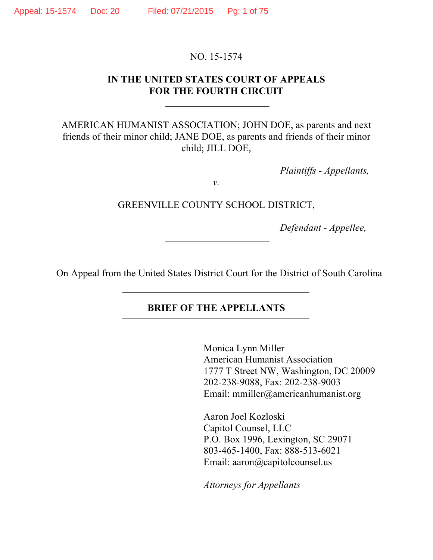#### NO. 15-1574

#### **IN THE UNITED STATES COURT OF APPEALS FOR THE FOURTH CIRCUIT**

AMERICAN HUMANIST ASSOCIATION; JOHN DOE, as parents and next friends of their minor child; JANE DOE, as parents and friends of their minor child; JILL DOE,

*Plaintiffs - Appellants,*

*v.*

GREENVILLE COUNTY SCHOOL DISTRICT,

*Defendant - Appellee,*

On Appeal from the United States District Court for the District of South Carolina

#### **BRIEF OF THE APPELLANTS**

Monica Lynn Miller American Humanist Association 1777 T Street NW, Washington, DC 20009 202-238-9088, Fax: 202-238-9003 Email: mmiller@americanhumanist.org

Aaron Joel Kozloski Capitol Counsel, LLC P.O. Box 1996, Lexington, SC 29071 803-465-1400, Fax: 888-513-6021 Email: aaron@capitolcounsel.us

*Attorneys for Appellants*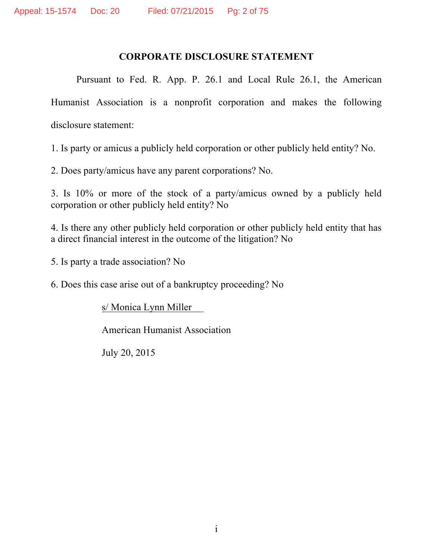### **CORPORATE DISCLOSURE STATEMENT**

Pursuant to Fed. R. App. P. 26.1 and Local Rule 26.1, the American Humanist Association is a nonprofit corporation and makes the following disclosure statement:

1. Is party or amicus a publicly held corporation or other publicly held entity? No.

2. Does party/amicus have any parent corporations? No.

3. Is 10% or more of the stock of a party/amicus owned by a publicly held corporation or other publicly held entity? No

4. Is there any other publicly held corporation or other publicly held entity that has a direct financial interest in the outcome of the litigation? No

5. Is party a trade association? No

6. Does this case arise out of a bankruptcy proceeding? No

s/ Monica Lynn Miller

American Humanist Association

July 20, 2015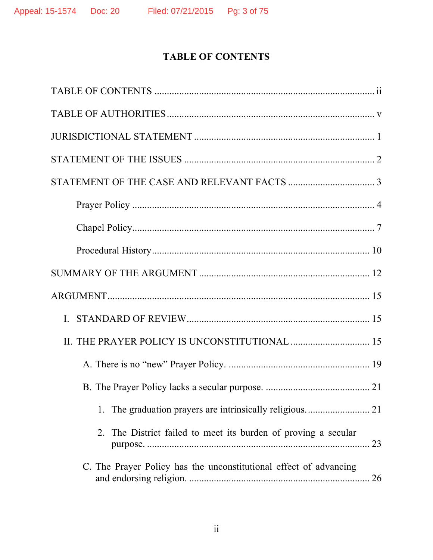# **TABLE OF CONTENTS**

| The District failed to meet its burden of proving a secular<br>2.<br>23 |
|-------------------------------------------------------------------------|
| C. The Prayer Policy has the unconstitutional effect of advancing       |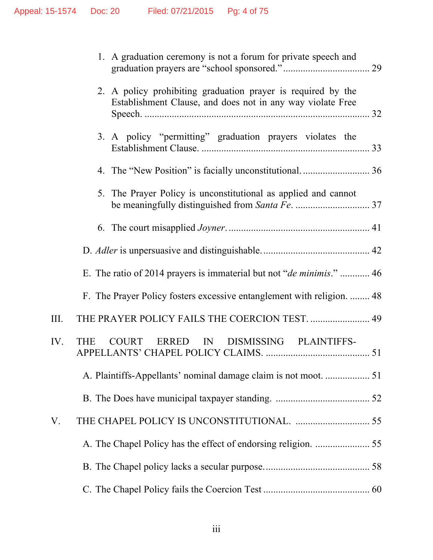|      | 1. A graduation ceremony is not a forum for private speech and                                                             |  |
|------|----------------------------------------------------------------------------------------------------------------------------|--|
|      | 2. A policy prohibiting graduation prayer is required by the<br>Establishment Clause, and does not in any way violate Free |  |
|      | 3. A policy "permitting" graduation prayers violates the                                                                   |  |
|      |                                                                                                                            |  |
|      | 5. The Prayer Policy is unconstitutional as applied and cannot                                                             |  |
|      |                                                                                                                            |  |
|      |                                                                                                                            |  |
|      | E. The ratio of 2014 prayers is immaterial but not " <i>de minimis.</i> "  46                                              |  |
|      | F. The Prayer Policy fosters excessive entanglement with religion.  48                                                     |  |
| III. | THE PRAYER POLICY FAILS THE COERCION TEST.  49                                                                             |  |
| IV.  | IN DISMISSING PLAINTIFFS-<br>COURT ERRED<br><b>THE</b>                                                                     |  |
|      |                                                                                                                            |  |
|      |                                                                                                                            |  |
| V.   |                                                                                                                            |  |
|      |                                                                                                                            |  |
|      |                                                                                                                            |  |
|      |                                                                                                                            |  |
|      |                                                                                                                            |  |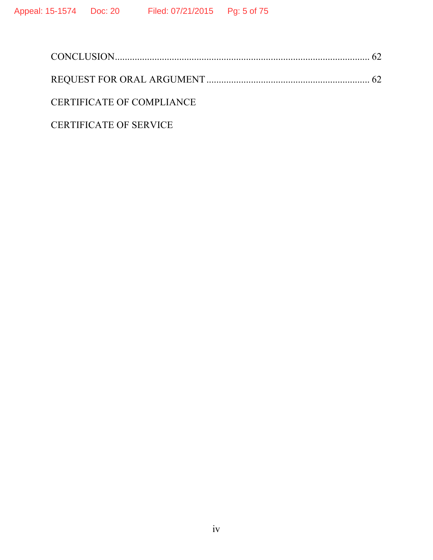| CERTIFICATE OF COMPLIANCE     |  |
|-------------------------------|--|
| <b>CERTIFICATE OF SERVICE</b> |  |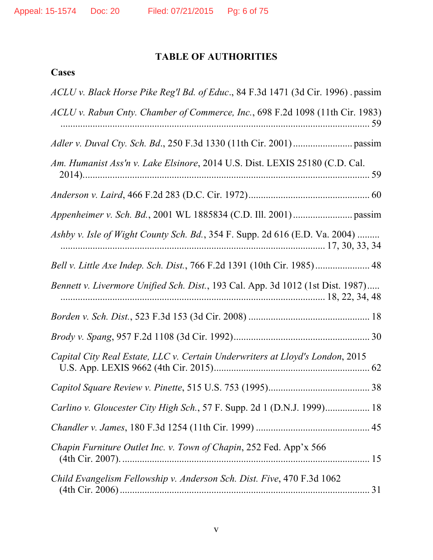# **TABLE OF AUTHORITIES**

# **Cases**

| ACLU v. Black Horse Pike Reg'l Bd. of Educ., 84 F.3d 1471 (3d Cir. 1996). passim |
|----------------------------------------------------------------------------------|
| ACLU v. Rabun Cnty. Chamber of Commerce, Inc., 698 F.2d 1098 (11th Cir. 1983)    |
|                                                                                  |
| Am. Humanist Ass'n v. Lake Elsinore, 2014 U.S. Dist. LEXIS 25180 (C.D. Cal.      |
|                                                                                  |
|                                                                                  |
| Ashby v. Isle of Wight County Sch. Bd., 354 F. Supp. 2d 616 (E.D. Va. 2004)      |
| Bell v. Little Axe Indep. Sch. Dist., 766 F.2d 1391 (10th Cir. 1985) 48          |
| Bennett v. Livermore Unified Sch. Dist., 193 Cal. App. 3d 1012 (1st Dist. 1987)  |
|                                                                                  |
|                                                                                  |
| Capital City Real Estate, LLC v. Certain Underwriters at Lloyd's London, 2015    |
|                                                                                  |
| Carlino v. Gloucester City High Sch., 57 F. Supp. 2d 1 (D.N.J. 1999) 18          |
|                                                                                  |
| Chapin Furniture Outlet Inc. v. Town of Chapin, 252 Fed. App'x 566               |
| Child Evangelism Fellowship v. Anderson Sch. Dist. Five, 470 F.3d 1062           |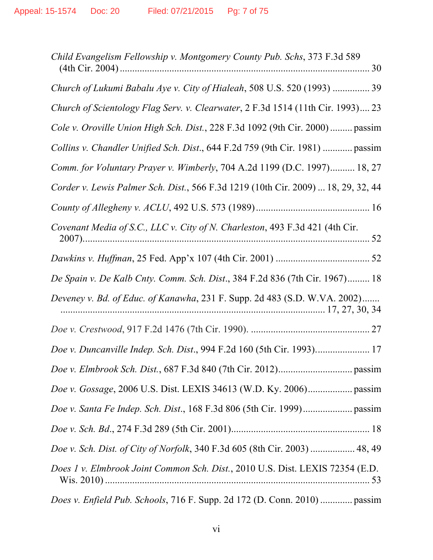| Child Evangelism Fellowship v. Montgomery County Pub. Schs, 373 F.3d 589          |
|-----------------------------------------------------------------------------------|
| Church of Lukumi Babalu Aye v. City of Hialeah, 508 U.S. 520 (1993)  39           |
| Church of Scientology Flag Serv. v. Clearwater, 2 F.3d 1514 (11th Cir. 1993) 23   |
| Cole v. Oroville Union High Sch. Dist., 228 F.3d 1092 (9th Cir. 2000)  passim     |
| Collins v. Chandler Unified Sch. Dist., 644 F.2d 759 (9th Cir. 1981)  passim      |
| Comm. for Voluntary Prayer v. Wimberly, 704 A.2d 1199 (D.C. 1997) 18, 27          |
| Corder v. Lewis Palmer Sch. Dist., 566 F.3d 1219 (10th Cir. 2009)  18, 29, 32, 44 |
|                                                                                   |
| Covenant Media of S.C., LLC v. City of N. Charleston, 493 F.3d 421 (4th Cir.      |
|                                                                                   |
| De Spain v. De Kalb Cnty. Comm. Sch. Dist., 384 F.2d 836 (7th Cir. 1967) 18       |
| Deveney v. Bd. of Educ. of Kanawha, 231 F. Supp. 2d 483 (S.D. W.VA. 2002)         |
|                                                                                   |
|                                                                                   |
|                                                                                   |
|                                                                                   |
|                                                                                   |
|                                                                                   |
| Doe v. Sch. Dist. of City of Norfolk, 340 F.3d 605 (8th Cir. 2003)  48, 49        |
| Does 1 v. Elmbrook Joint Common Sch. Dist., 2010 U.S. Dist. LEXIS 72354 (E.D.     |
| Does v. Enfield Pub. Schools, 716 F. Supp. 2d 172 (D. Conn. 2010)  passim         |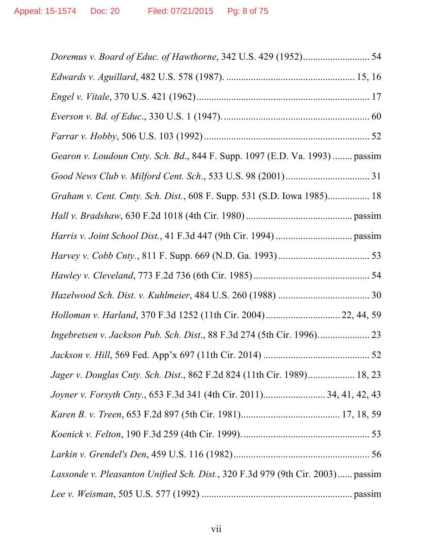| Gearon v. Loudoun Cnty. Sch. Bd., 844 F. Supp. 1097 (E.D. Va. 1993)  passim    |  |
|--------------------------------------------------------------------------------|--|
|                                                                                |  |
| Graham v. Cent. Cmty. Sch. Dist., 608 F. Supp. 531 (S.D. Iowa 1985) 18         |  |
|                                                                                |  |
|                                                                                |  |
|                                                                                |  |
|                                                                                |  |
|                                                                                |  |
| Holloman v. Harland, 370 F.3d 1252 (11th Cir. 2004) 22, 44, 59                 |  |
|                                                                                |  |
|                                                                                |  |
| Jager v. Douglas Cnty. Sch. Dist., 862 F.2d 824 (11th Cir. 1989) 18, 23        |  |
|                                                                                |  |
|                                                                                |  |
|                                                                                |  |
|                                                                                |  |
| Lassonde v. Pleasanton Unified Sch. Dist., 320 F.3d 979 (9th Cir. 2003) passim |  |
|                                                                                |  |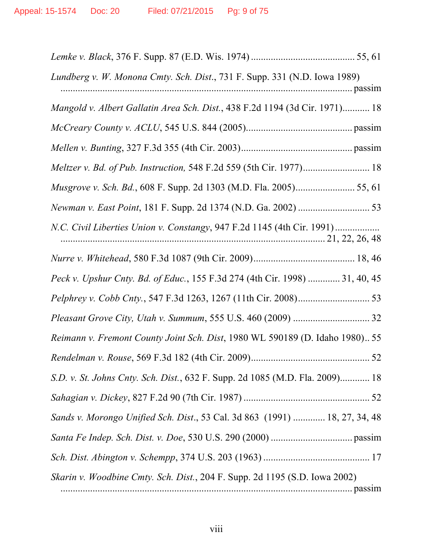| Lundberg v. W. Monona Cmty. Sch. Dist., 731 F. Supp. 331 (N.D. Iowa 1989)<br><u>matematical passimum and passimum and passimum and passimum and passimum and passimum and passimum and passimum and passimum and passimum and passimum and passimum and passimum and passimum and passimum and passimum and p</u> |
|-------------------------------------------------------------------------------------------------------------------------------------------------------------------------------------------------------------------------------------------------------------------------------------------------------------------|
| Mangold v. Albert Gallatin Area Sch. Dist., 438 F.2d 1194 (3d Cir. 1971) 18                                                                                                                                                                                                                                       |
|                                                                                                                                                                                                                                                                                                                   |
|                                                                                                                                                                                                                                                                                                                   |
| Meltzer v. Bd. of Pub. Instruction, 548 F.2d 559 (5th Cir. 1977) 18                                                                                                                                                                                                                                               |
| Musgrove v. Sch. Bd., 608 F. Supp. 2d 1303 (M.D. Fla. 2005) 55, 61                                                                                                                                                                                                                                                |
|                                                                                                                                                                                                                                                                                                                   |
|                                                                                                                                                                                                                                                                                                                   |
|                                                                                                                                                                                                                                                                                                                   |
| Peck v. Upshur Cnty. Bd. of Educ., 155 F.3d 274 (4th Cir. 1998)  31, 40, 45                                                                                                                                                                                                                                       |
|                                                                                                                                                                                                                                                                                                                   |
|                                                                                                                                                                                                                                                                                                                   |
| Reimann v. Fremont County Joint Sch. Dist, 1980 WL 590189 (D. Idaho 1980) 55                                                                                                                                                                                                                                      |
|                                                                                                                                                                                                                                                                                                                   |
| S.D. v. St. Johns Cnty. Sch. Dist., 632 F. Supp. 2d 1085 (M.D. Fla. 2009) 18                                                                                                                                                                                                                                      |
|                                                                                                                                                                                                                                                                                                                   |
| Sands v. Morongo Unified Sch. Dist., 53 Cal. 3d 863 (1991)  18, 27, 34, 48                                                                                                                                                                                                                                        |
|                                                                                                                                                                                                                                                                                                                   |
|                                                                                                                                                                                                                                                                                                                   |
| <i>Skarin v. Woodbine Cmty. Sch. Dist., 204 F. Supp. 2d 1195 (S.D. Iowa 2002)</i>                                                                                                                                                                                                                                 |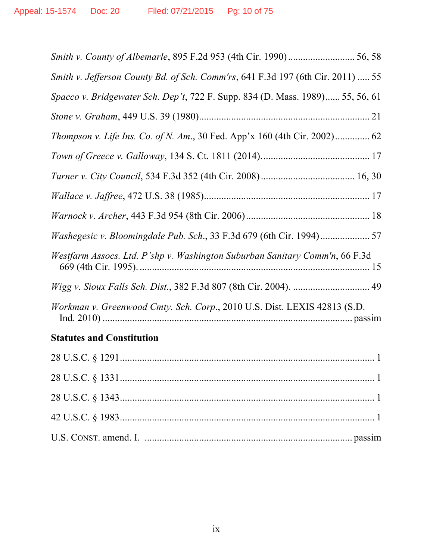| Smith v. Jefferson County Bd. of Sch. Comm'rs, 641 F.3d 197 (6th Cir. 2011)  55 |
|---------------------------------------------------------------------------------|
| Spacco v. Bridgewater Sch. Dep't, 722 F. Supp. 834 (D. Mass. 1989) 55, 56, 61   |
|                                                                                 |
| Thompson v. Life Ins. Co. of N. Am., 30 Fed. App'x 160 (4th Cir. 2002) 62       |
|                                                                                 |
|                                                                                 |
|                                                                                 |
|                                                                                 |
|                                                                                 |
| Westfarm Assocs. Ltd. P'shp v. Washington Suburban Sanitary Comm'n, 66 F.3d     |
| Wigg v. Sioux Falls Sch. Dist., 382 F.3d 807 (8th Cir. 2004).  49               |
| Workman v. Greenwood Cmty. Sch. Corp., 2010 U.S. Dist. LEXIS 42813 (S.D.        |
| <b>Statutes and Constitution</b>                                                |
|                                                                                 |
|                                                                                 |
|                                                                                 |
|                                                                                 |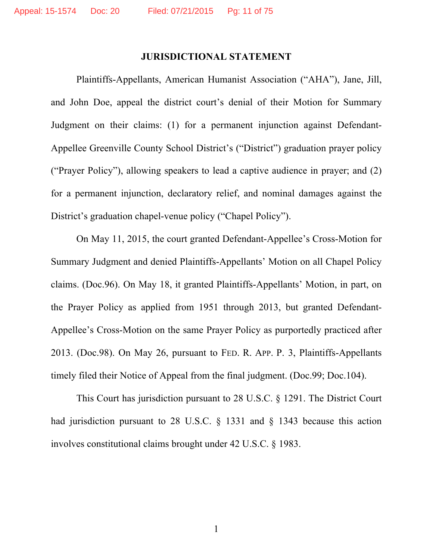#### **JURISDICTIONAL STATEMENT**

Plaintiffs-Appellants, American Humanist Association ("AHA"), Jane, Jill, and John Doe, appeal the district court's denial of their Motion for Summary Judgment on their claims: (1) for a permanent injunction against Defendant-Appellee Greenville County School District's ("District") graduation prayer policy ("Prayer Policy"), allowing speakers to lead a captive audience in prayer; and (2) for a permanent injunction, declaratory relief, and nominal damages against the District's graduation chapel-venue policy ("Chapel Policy").

On May 11, 2015, the court granted Defendant-Appellee's Cross-Motion for Summary Judgment and denied Plaintiffs-Appellants' Motion on all Chapel Policy claims. (Doc.96). On May 18, it granted Plaintiffs-Appellants' Motion, in part, on the Prayer Policy as applied from 1951 through 2013, but granted Defendant-Appellee's Cross-Motion on the same Prayer Policy as purportedly practiced after 2013. (Doc.98). On May 26, pursuant to FED. R. APP. P. 3, Plaintiffs-Appellants timely filed their Notice of Appeal from the final judgment. (Doc.99; Doc.104).

This Court has jurisdiction pursuant to 28 U.S.C. § 1291. The District Court had jurisdiction pursuant to 28 U.S.C. § 1331 and § 1343 because this action involves constitutional claims brought under 42 U.S.C. § 1983.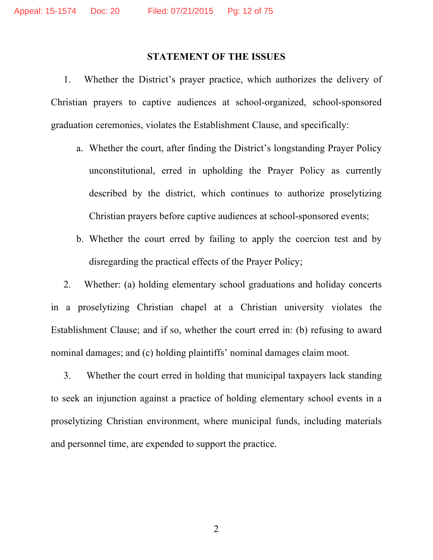#### **STATEMENT OF THE ISSUES**

1. Whether the District's prayer practice, which authorizes the delivery of Christian prayers to captive audiences at school-organized, school-sponsored graduation ceremonies, violates the Establishment Clause, and specifically:

- a. Whether the court, after finding the District's longstanding Prayer Policy unconstitutional, erred in upholding the Prayer Policy as currently described by the district, which continues to authorize proselytizing Christian prayers before captive audiences at school-sponsored events;
- b. Whether the court erred by failing to apply the coercion test and by disregarding the practical effects of the Prayer Policy;

2. Whether: (a) holding elementary school graduations and holiday concerts in a proselytizing Christian chapel at a Christian university violates the Establishment Clause; and if so, whether the court erred in: (b) refusing to award nominal damages; and (c) holding plaintiffs' nominal damages claim moot.

3. Whether the court erred in holding that municipal taxpayers lack standing to seek an injunction against a practice of holding elementary school events in a proselytizing Christian environment, where municipal funds, including materials and personnel time, are expended to support the practice.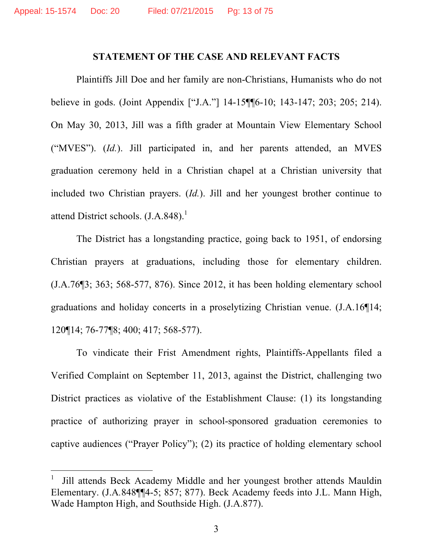#### **STATEMENT OF THE CASE AND RELEVANT FACTS**

Plaintiffs Jill Doe and her family are non-Christians, Humanists who do not believe in gods. (Joint Appendix ["J.A."] 14-15¶¶6-10; 143-147; 203; 205; 214). On May 30, 2013, Jill was a fifth grader at Mountain View Elementary School ("MVES"). (*Id.*). Jill participated in, and her parents attended, an MVES graduation ceremony held in a Christian chapel at a Christian university that included two Christian prayers. (*Id.*). Jill and her youngest brother continue to attend District schools.  $(I.A.848).$ <sup>1</sup>

The District has a longstanding practice, going back to 1951, of endorsing Christian prayers at graduations, including those for elementary children. (J.A.76¶3; 363; 568-577, 876). Since 2012, it has been holding elementary school graduations and holiday concerts in a proselytizing Christian venue. (J.A.16¶14; 120¶14; 76-77¶8; 400; 417; 568-577).

To vindicate their Frist Amendment rights, Plaintiffs-Appellants filed a Verified Complaint on September 11, 2013, against the District, challenging two District practices as violative of the Establishment Clause: (1) its longstanding practice of authorizing prayer in school-sponsored graduation ceremonies to captive audiences ("Prayer Policy"); (2) its practice of holding elementary school

 $\overline{a}$ 

<sup>1</sup> Jill attends Beck Academy Middle and her youngest brother attends Mauldin Elementary. (J.A*.*848¶¶4-5; 857; 877). Beck Academy feeds into J.L. Mann High, Wade Hampton High, and Southside High. (J.A.877).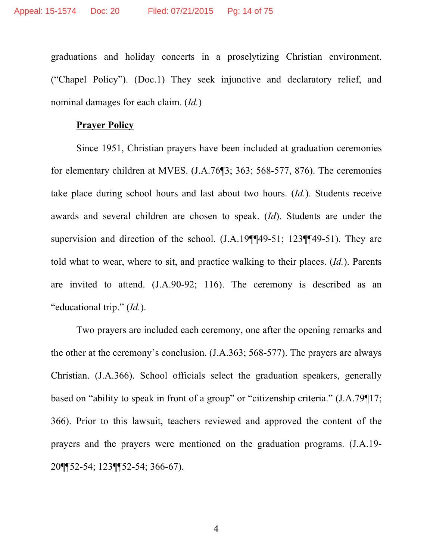graduations and holiday concerts in a proselytizing Christian environment. ("Chapel Policy"). (Doc.1) They seek injunctive and declaratory relief, and nominal damages for each claim. (*Id.*)

#### **Prayer Policy**

Since 1951, Christian prayers have been included at graduation ceremonies for elementary children at MVES. (J.A.76¶3; 363; 568-577, 876). The ceremonies take place during school hours and last about two hours. (*Id.*). Students receive awards and several children are chosen to speak. (*Id*). Students are under the supervision and direction of the school. (J.A.19¶¶49-51; 123¶¶49-51). They are told what to wear, where to sit, and practice walking to their places. (*Id.*). Parents are invited to attend. (J.A.90-92; 116). The ceremony is described as an "educational trip." (*Id.*).

Two prayers are included each ceremony, one after the opening remarks and the other at the ceremony's conclusion. (J.A.363; 568-577). The prayers are always Christian. (J.A.366). School officials select the graduation speakers, generally based on "ability to speak in front of a group" or "citizenship criteria." (J.A.79¶17; 366). Prior to this lawsuit, teachers reviewed and approved the content of the prayers and the prayers were mentioned on the graduation programs. (J.A.19- 20¶¶52-54; 123¶¶52-54; 366-67).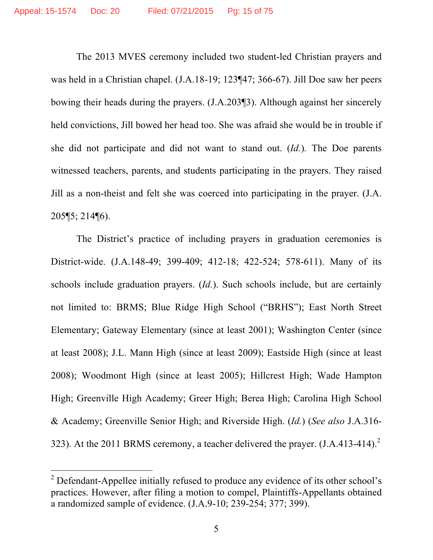The 2013 MVES ceremony included two student-led Christian prayers and was held in a Christian chapel. (J.A.18-19; 123¶47; 366-67). Jill Doe saw her peers bowing their heads during the prayers. (J.A.203¶3). Although against her sincerely held convictions, Jill bowed her head too. She was afraid she would be in trouble if she did not participate and did not want to stand out. (*Id.*)*.* The Doe parents witnessed teachers, parents, and students participating in the prayers. They raised Jill as a non-theist and felt she was coerced into participating in the prayer. (J.A. 205¶5; 214¶6).

The District's practice of including prayers in graduation ceremonies is District-wide. (J.A.148-49; 399-409; 412-18; 422-524; 578-611). Many of its schools include graduation prayers. (*Id.*). Such schools include, but are certainly not limited to: BRMS; Blue Ridge High School ("BRHS"); East North Street Elementary; Gateway Elementary (since at least 2001); Washington Center (since at least 2008); J.L. Mann High (since at least 2009); Eastside High (since at least 2008); Woodmont High (since at least 2005); Hillcrest High; Wade Hampton High; Greenville High Academy; Greer High; Berea High; Carolina High School & Academy; Greenville Senior High; and Riverside High. (*Id.*) (*See also* J.A.316- 323). At the 2011 BRMS ceremony, a teacher delivered the prayer.  $(I.A.413-414).$ <sup>2</sup>

 $\overline{a}$ 

 $2^2$  Defendant-Appellee initially refused to produce any evidence of its other school's practices. However, after filing a motion to compel, Plaintiffs-Appellants obtained a randomized sample of evidence. (J.A.9-10; 239-254; 377; 399).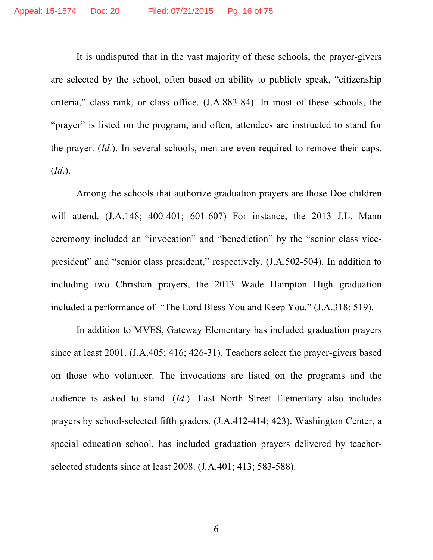It is undisputed that in the vast majority of these schools, the prayer-givers are selected by the school, often based on ability to publicly speak, "citizenship criteria," class rank, or class office. (J.A.883-84). In most of these schools, the "prayer" is listed on the program, and often, attendees are instructed to stand for the prayer. (*Id.*). In several schools, men are even required to remove their caps. (*Id*.).

Among the schools that authorize graduation prayers are those Doe children will attend. (J.A.148; 400-401; 601-607) For instance, the 2013 J.L. Mann ceremony included an "invocation" and "benediction" by the "senior class vicepresident" and "senior class president," respectively. (J.A.502-504). In addition to including two Christian prayers, the 2013 Wade Hampton High graduation included a performance of "The Lord Bless You and Keep You." (J.A.318; 519).

In addition to MVES, Gateway Elementary has included graduation prayers since at least 2001. (J.A.405; 416; 426-31). Teachers select the prayer-givers based on those who volunteer. The invocations are listed on the programs and the audience is asked to stand. (*Id.*). East North Street Elementary also includes prayers by school-selected fifth graders. (J.A.412-414; 423). Washington Center, a special education school, has included graduation prayers delivered by teacherselected students since at least 2008. (J*.*A.401; 413; 583-588).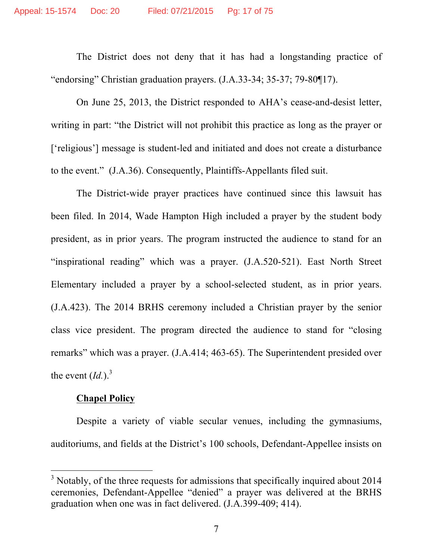The District does not deny that it has had a longstanding practice of "endorsing" Christian graduation prayers. (J.A.33-34; 35-37; 79-80¶17).

On June 25, 2013, the District responded to AHA's cease-and-desist letter, writing in part: "the District will not prohibit this practice as long as the prayer or ['religious'] message is student-led and initiated and does not create a disturbance to the event." (J.A.36). Consequently, Plaintiffs-Appellants filed suit.

The District-wide prayer practices have continued since this lawsuit has been filed. In 2014, Wade Hampton High included a prayer by the student body president, as in prior years. The program instructed the audience to stand for an "inspirational reading" which was a prayer. (J.A.520-521). East North Street Elementary included a prayer by a school-selected student, as in prior years. (J.A.423). The 2014 BRHS ceremony included a Christian prayer by the senior class vice president. The program directed the audience to stand for "closing remarks" which was a prayer. (J.A.414; 463-65). The Superintendent presided over the event  $(Id.)$ <sup>3</sup>

### **Chapel Policy**

 $\overline{a}$ 

Despite a variety of viable secular venues, including the gymnasiums, auditoriums, and fields at the District's 100 schools, Defendant-Appellee insists on

 $3$  Notably, of the three requests for admissions that specifically inquired about 2014 ceremonies, Defendant-Appellee "denied" a prayer was delivered at the BRHS graduation when one was in fact delivered. (J.A.399-409; 414).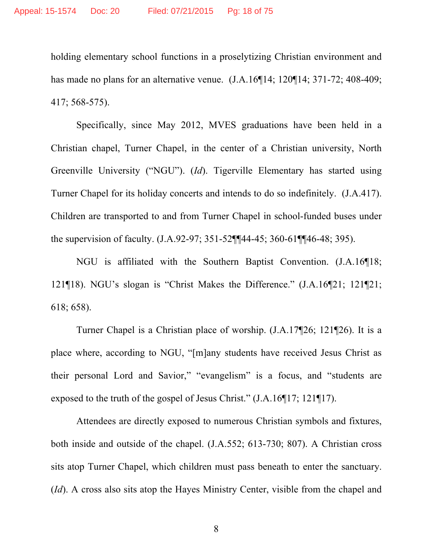holding elementary school functions in a proselytizing Christian environment and has made no plans for an alternative venue. (J.A.16¶14; 120¶14; 371-72; 408-409; 417; 568-575).

Specifically, since May 2012, MVES graduations have been held in a Christian chapel, Turner Chapel, in the center of a Christian university, North Greenville University ("NGU"). (*Id*). Tigerville Elementary has started using Turner Chapel for its holiday concerts and intends to do so indefinitely. (J.A.417). Children are transported to and from Turner Chapel in school-funded buses under the supervision of faculty. (J.A.92-97; 351-52¶¶44-45; 360-61¶¶46-48; 395).

NGU is affiliated with the Southern Baptist Convention. (J.A.16¶18; 121¶18). NGU's slogan is "Christ Makes the Difference." (J.A.16¶21; 121¶21; 618; 658).

Turner Chapel is a Christian place of worship. (J.A.17¶26; 121¶26). It is a place where, according to NGU, "[m]any students have received Jesus Christ as their personal Lord and Savior," "evangelism" is a focus, and "students are exposed to the truth of the gospel of Jesus Christ." (J.A.16¶17; 121¶17).

Attendees are directly exposed to numerous Christian symbols and fixtures, both inside and outside of the chapel. (J.A.552; 613-730; 807). A Christian cross sits atop Turner Chapel, which children must pass beneath to enter the sanctuary. (*Id*). A cross also sits atop the Hayes Ministry Center, visible from the chapel and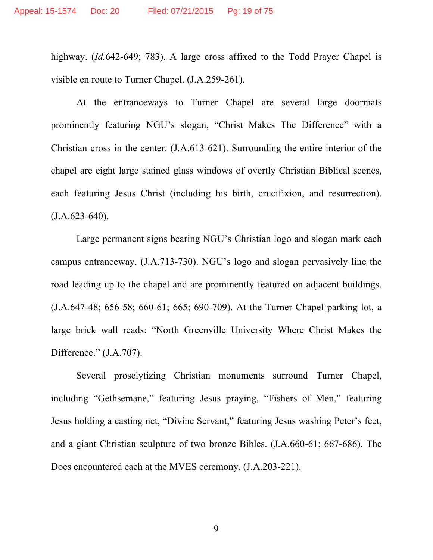highway. (*Id.*642-649; 783). A large cross affixed to the Todd Prayer Chapel is visible en route to Turner Chapel. (J.A.259-261).

At the entranceways to Turner Chapel are several large doormats prominently featuring NGU's slogan, "Christ Makes The Difference" with a Christian cross in the center. (J.A.613-621). Surrounding the entire interior of the chapel are eight large stained glass windows of overtly Christian Biblical scenes, each featuring Jesus Christ (including his birth, crucifixion, and resurrection).  $(J.A.623-640)$ .

Large permanent signs bearing NGU's Christian logo and slogan mark each campus entranceway. (J.A.713-730). NGU's logo and slogan pervasively line the road leading up to the chapel and are prominently featured on adjacent buildings. (J.A.647-48; 656-58; 660-61; 665; 690-709). At the Turner Chapel parking lot, a large brick wall reads: "North Greenville University Where Christ Makes the Difference." (J.A.707).

Several proselytizing Christian monuments surround Turner Chapel, including "Gethsemane," featuring Jesus praying, "Fishers of Men," featuring Jesus holding a casting net, "Divine Servant," featuring Jesus washing Peter's feet, and a giant Christian sculpture of two bronze Bibles. (J.A.660-61; 667-686). The Does encountered each at the MVES ceremony. (J.A.203-221).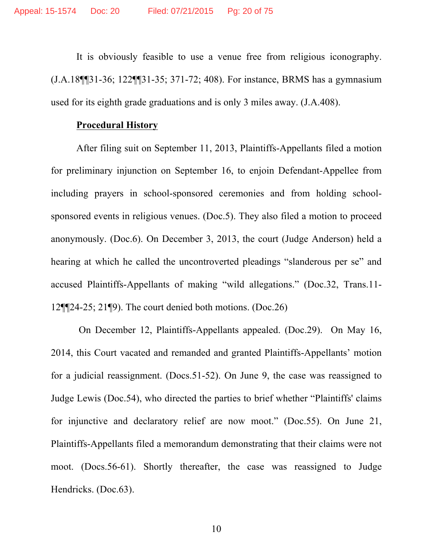It is obviously feasible to use a venue free from religious iconography. (J.A.18¶¶31-36; 122¶¶31-35; 371-72; 408). For instance, BRMS has a gymnasium used for its eighth grade graduations and is only 3 miles away. (J.A.408).

#### **Procedural History**

After filing suit on September 11, 2013, Plaintiffs-Appellants filed a motion for preliminary injunction on September 16, to enjoin Defendant-Appellee from including prayers in school-sponsored ceremonies and from holding schoolsponsored events in religious venues. (Doc.5). They also filed a motion to proceed anonymously. (Doc.6). On December 3, 2013, the court (Judge Anderson) held a hearing at which he called the uncontroverted pleadings "slanderous per se" and accused Plaintiffs-Appellants of making "wild allegations." (Doc.32, Trans.11- 12¶¶24-25; 21¶9). The court denied both motions. (Doc.26)

On December 12, Plaintiffs-Appellants appealed. (Doc.29). On May 16, 2014, this Court vacated and remanded and granted Plaintiffs-Appellants' motion for a judicial reassignment. (Docs.51-52). On June 9, the case was reassigned to Judge Lewis (Doc.54), who directed the parties to brief whether "Plaintiffs' claims for injunctive and declaratory relief are now moot." (Doc.55). On June 21, Plaintiffs-Appellants filed a memorandum demonstrating that their claims were not moot. (Docs.56-61). Shortly thereafter, the case was reassigned to Judge Hendricks. (Doc.63).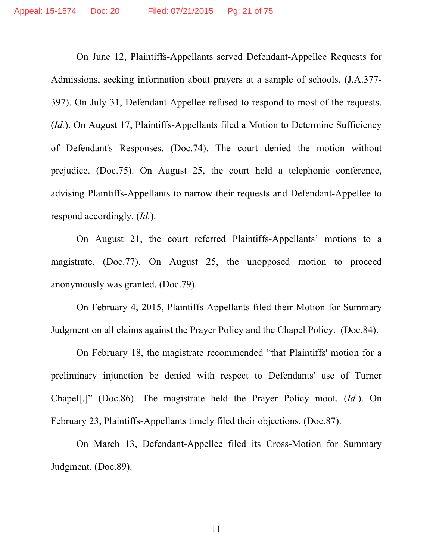On June 12, Plaintiffs-Appellants served Defendant-Appellee Requests for Admissions, seeking information about prayers at a sample of schools. (J.A.377- 397). On July 31, Defendant-Appellee refused to respond to most of the requests. (*Id.*). On August 17, Plaintiffs-Appellants filed a Motion to Determine Sufficiency of Defendant's Responses. (Doc.74). The court denied the motion without prejudice. (Doc.75). On August 25, the court held a telephonic conference, advising Plaintiffs-Appellants to narrow their requests and Defendant-Appellee to respond accordingly. (*Id.*).

On August 21, the court referred Plaintiffs-Appellants' motions to a magistrate. (Doc.77). On August 25, the unopposed motion to proceed anonymously was granted. (Doc.79).

On February 4, 2015, Plaintiffs-Appellants filed their Motion for Summary Judgment on all claims against the Prayer Policy and the Chapel Policy. (Doc.84).

On February 18, the magistrate recommended "that Plaintiffs' motion for a preliminary injunction be denied with respect to Defendants' use of Turner Chapel[.]" (Doc.86). The magistrate held the Prayer Policy moot. (*Id.*). On February 23, Plaintiffs-Appellants timely filed their objections. (Doc.87).

On March 13, Defendant-Appellee filed its Cross-Motion for Summary Judgment. (Doc.89).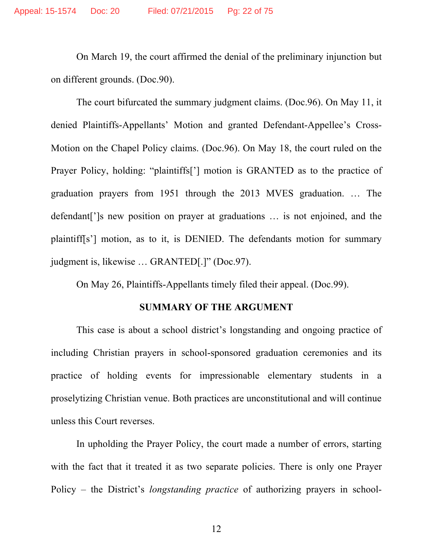On March 19, the court affirmed the denial of the preliminary injunction but on different grounds. (Doc.90).

The court bifurcated the summary judgment claims. (Doc.96). On May 11, it denied Plaintiffs-Appellants' Motion and granted Defendant-Appellee's Cross-Motion on the Chapel Policy claims. (Doc.96). On May 18, the court ruled on the Prayer Policy, holding: "plaintiffs['] motion is GRANTED as to the practice of graduation prayers from 1951 through the 2013 MVES graduation. … The defendant[']s new position on prayer at graduations … is not enjoined, and the plaintiff[s'] motion, as to it, is DENIED. The defendants motion for summary judgment is, likewise … GRANTED[.]" (Doc.97).

On May 26, Plaintiffs-Appellants timely filed their appeal. (Doc.99).

#### **SUMMARY OF THE ARGUMENT**

This case is about a school district's longstanding and ongoing practice of including Christian prayers in school-sponsored graduation ceremonies and its practice of holding events for impressionable elementary students in a proselytizing Christian venue. Both practices are unconstitutional and will continue unless this Court reverses.

In upholding the Prayer Policy, the court made a number of errors, starting with the fact that it treated it as two separate policies. There is only one Prayer Policy – the District's *longstanding practice* of authorizing prayers in school-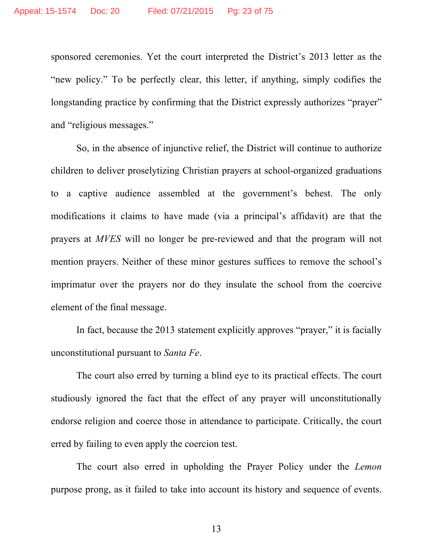sponsored ceremonies. Yet the court interpreted the District's 2013 letter as the "new policy." To be perfectly clear, this letter, if anything, simply codifies the longstanding practice by confirming that the District expressly authorizes "prayer" and "religious messages."

So, in the absence of injunctive relief, the District will continue to authorize children to deliver proselytizing Christian prayers at school-organized graduations to a captive audience assembled at the government's behest. The only modifications it claims to have made (via a principal's affidavit) are that the prayers at *MVES* will no longer be pre-reviewed and that the program will not mention prayers. Neither of these minor gestures suffices to remove the school's imprimatur over the prayers nor do they insulate the school from the coercive element of the final message.

In fact, because the 2013 statement explicitly approves "prayer," it is facially unconstitutional pursuant to *Santa Fe*.

The court also erred by turning a blind eye to its practical effects. The court studiously ignored the fact that the effect of any prayer will unconstitutionally endorse religion and coerce those in attendance to participate. Critically, the court erred by failing to even apply the coercion test.

The court also erred in upholding the Prayer Policy under the *Lemon*  purpose prong, as it failed to take into account its history and sequence of events.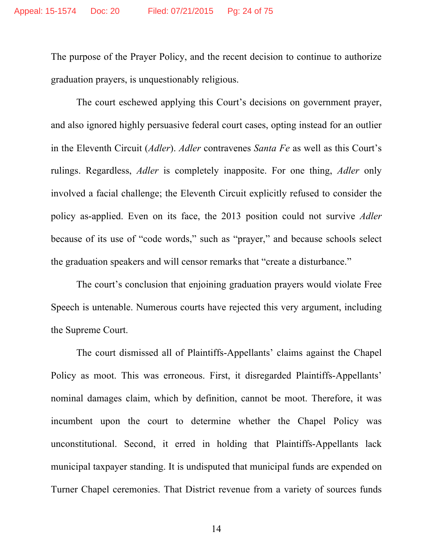The purpose of the Prayer Policy, and the recent decision to continue to authorize graduation prayers, is unquestionably religious.

The court eschewed applying this Court's decisions on government prayer, and also ignored highly persuasive federal court cases, opting instead for an outlier in the Eleventh Circuit (*Adler*). *Adler* contravenes *Santa Fe* as well as this Court's rulings. Regardless, *Adler* is completely inapposite. For one thing, *Adler* only involved a facial challenge; the Eleventh Circuit explicitly refused to consider the policy as-applied. Even on its face, the 2013 position could not survive *Adler* because of its use of "code words," such as "prayer," and because schools select the graduation speakers and will censor remarks that "create a disturbance."

The court's conclusion that enjoining graduation prayers would violate Free Speech is untenable. Numerous courts have rejected this very argument, including the Supreme Court.

The court dismissed all of Plaintiffs-Appellants' claims against the Chapel Policy as moot. This was erroneous. First, it disregarded Plaintiffs-Appellants' nominal damages claim, which by definition, cannot be moot. Therefore, it was incumbent upon the court to determine whether the Chapel Policy was unconstitutional. Second, it erred in holding that Plaintiffs-Appellants lack municipal taxpayer standing. It is undisputed that municipal funds are expended on Turner Chapel ceremonies. That District revenue from a variety of sources funds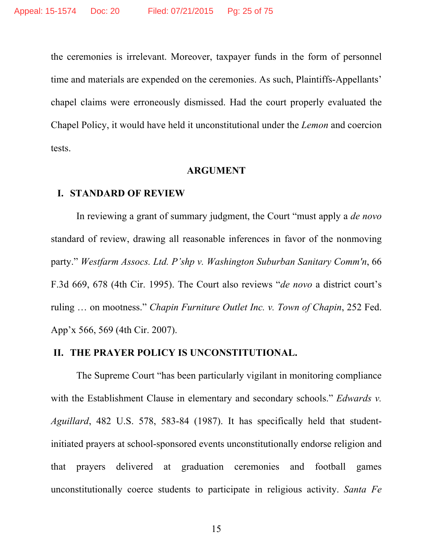the ceremonies is irrelevant. Moreover, taxpayer funds in the form of personnel time and materials are expended on the ceremonies. As such, Plaintiffs-Appellants' chapel claims were erroneously dismissed. Had the court properly evaluated the Chapel Policy, it would have held it unconstitutional under the *Lemon* and coercion tests.

#### **ARGUMENT**

#### **I. STANDARD OF REVIEW**

In reviewing a grant of summary judgment, the Court "must apply a *de novo* standard of review, drawing all reasonable inferences in favor of the nonmoving party." *Westfarm Assocs. Ltd. P'shp v. Washington Suburban Sanitary Comm'n*, 66 F.3d 669, 678 (4th Cir. 1995). The Court also reviews "*de novo* a district court's ruling … on mootness." *Chapin Furniture Outlet Inc. v. Town of Chapin*, 252 Fed. App'x 566, 569 (4th Cir. 2007).

#### **II. THE PRAYER POLICY IS UNCONSTITUTIONAL.**

The Supreme Court "has been particularly vigilant in monitoring compliance with the Establishment Clause in elementary and secondary schools." *Edwards v. Aguillard*, 482 U.S. 578, 583-84 (1987). It has specifically held that studentinitiated prayers at school-sponsored events unconstitutionally endorse religion and that prayers delivered at graduation ceremonies and football games unconstitutionally coerce students to participate in religious activity. *Santa Fe*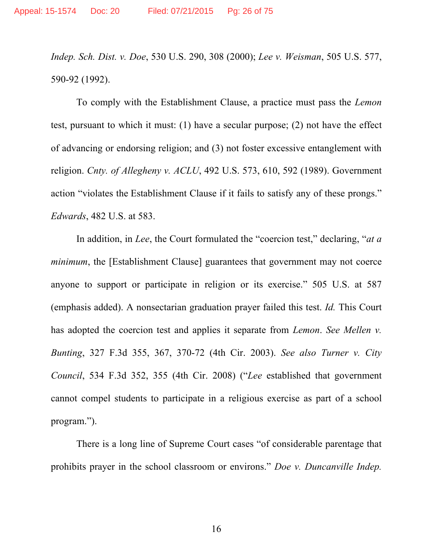*Indep. Sch. Dist. v. Doe*, 530 U.S. 290, 308 (2000); *Lee v. Weisman*, 505 U.S. 577, 590-92 (1992).

To comply with the Establishment Clause, a practice must pass the *Lemon*  test, pursuant to which it must: (1) have a secular purpose; (2) not have the effect of advancing or endorsing religion; and (3) not foster excessive entanglement with religion. *Cnty. of Allegheny v. ACLU*, 492 U.S. 573, 610, 592 (1989). Government action "violates the Establishment Clause if it fails to satisfy any of these prongs." *Edwards*, 482 U.S. at 583.

In addition, in *Lee*, the Court formulated the "coercion test," declaring, "*at a minimum*, the [Establishment Clause] guarantees that government may not coerce anyone to support or participate in religion or its exercise." 505 U.S. at 587 (emphasis added). A nonsectarian graduation prayer failed this test. *Id.* This Court has adopted the coercion test and applies it separate from *Lemon*. *See Mellen v. Bunting*, 327 F.3d 355, 367, 370-72 (4th Cir. 2003). *See also Turner v. City Council*, 534 F.3d 352, 355 (4th Cir. 2008) ("*Lee* established that government cannot compel students to participate in a religious exercise as part of a school program.").

There is a long line of Supreme Court cases "of considerable parentage that prohibits prayer in the school classroom or environs." *Doe v. Duncanville Indep.*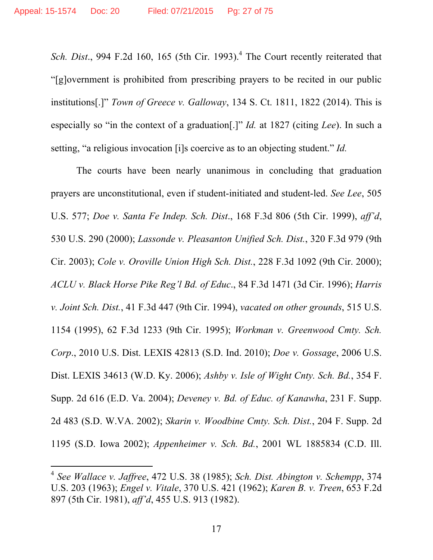$\overline{a}$ 

*Sch. Dist.*, 994 F.2d 160, 165 (5th Cir. 1993).<sup>4</sup> The Court recently reiterated that "[g]overnment is prohibited from prescribing prayers to be recited in our public institutions[.]" *Town of Greece v. Galloway*, 134 S. Ct. 1811, 1822 (2014). This is especially so "in the context of a graduation[.]" *Id.* at 1827 (citing *Lee*). In such a setting, "a religious invocation [i]s coercive as to an objecting student." *Id.* 

The courts have been nearly unanimous in concluding that graduation prayers are unconstitutional, even if student-initiated and student-led. *See Lee*, 505 U.S. 577; *Doe v. Santa Fe Indep. Sch. Dist*., 168 F.3d 806 (5th Cir. 1999), *aff'd*, 530 U.S. 290 (2000); *Lassonde v. Pleasanton Unified Sch. Dist.*, 320 F.3d 979 (9th Cir. 2003); *Cole v. Oroville Union High Sch. Dist.*, 228 F.3d 1092 (9th Cir. 2000); *ACLU v. Black Horse Pike Reg'l Bd. of Educ*., 84 F.3d 1471 (3d Cir. 1996); *Harris v. Joint Sch. Dist.*, 41 F.3d 447 (9th Cir. 1994), *vacated on other grounds*, 515 U.S. 1154 (1995), 62 F.3d 1233 (9th Cir. 1995); *Workman v. Greenwood Cmty. Sch. Corp*., 2010 U.S. Dist. LEXIS 42813 (S.D. Ind. 2010); *Doe v. Gossage*, 2006 U.S. Dist. LEXIS 34613 (W.D. Ky. 2006); *Ashby v. Isle of Wight Cnty. Sch. Bd.*, 354 F. Supp. 2d 616 (E.D. Va. 2004); *Deveney v. Bd. of Educ. of Kanawha*, 231 F. Supp. 2d 483 (S.D. W.VA. 2002); *Skarin v. Woodbine Cmty. Sch. Dist.*, 204 F. Supp. 2d 1195 (S.D. Iowa 2002); *Appenheimer v. Sch. Bd.*, 2001 WL 1885834 (C.D. Ill.

<sup>4</sup> *See Wallace v. Jaffree*, 472 U.S. 38 (1985); *Sch. Dist. Abington v. Schempp*, 374 U.S. 203 (1963); *Engel v. Vitale*, 370 U.S. 421 (1962); *Karen B. v. Treen*, 653 F.2d 897 (5th Cir. 1981), *aff'd*, 455 U.S. 913 (1982).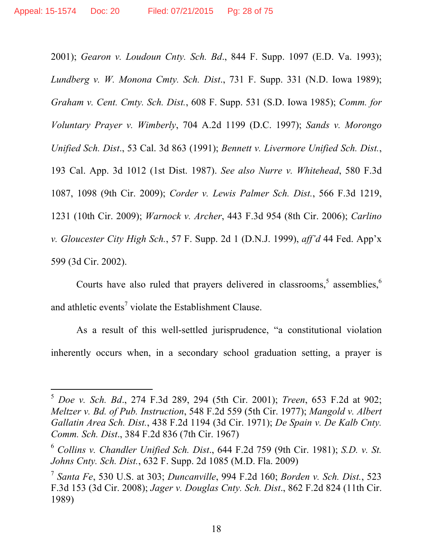$\overline{a}$ 

2001); *Gearon v. Loudoun Cnty. Sch. Bd*., 844 F. Supp. 1097 (E.D. Va. 1993); *Lundberg v. W. Monona Cmty. Sch. Dist*., 731 F. Supp. 331 (N.D. Iowa 1989); *Graham v. Cent. Cmty. Sch. Dist.*, 608 F. Supp. 531 (S.D. Iowa 1985); *Comm. for Voluntary Prayer v. Wimberly*, 704 A.2d 1199 (D.C. 1997); *Sands v. Morongo Unified Sch. Dist*., 53 Cal. 3d 863 (1991); *Bennett v. Livermore Unified Sch. Dist.*, 193 Cal. App. 3d 1012 (1st Dist. 1987). *See also Nurre v. Whitehead*, 580 F.3d 1087, 1098 (9th Cir. 2009); *Corder v. Lewis Palmer Sch. Dist.*, 566 F.3d 1219, 1231 (10th Cir. 2009); *Warnock v. Archer*, 443 F.3d 954 (8th Cir. 2006); *Carlino v. Gloucester City High Sch.*, 57 F. Supp. 2d 1 (D.N.J. 1999), *aff'd* 44 Fed. App'x 599 (3d Cir. 2002).

Courts have also ruled that prayers delivered in classrooms,  $\delta$  assemblies,  $\delta$ and athletic events<sup>7</sup> violate the Establishment Clause.

As a result of this well-settled jurisprudence, "a constitutional violation inherently occurs when, in a secondary school graduation setting, a prayer is

<sup>5</sup> *Doe v. Sch. Bd*., 274 F.3d 289, 294 (5th Cir. 2001); *Treen*, 653 F.2d at 902; *Meltzer v. Bd. of Pub. Instruction*, 548 F.2d 559 (5th Cir. 1977); *Mangold v. Albert Gallatin Area Sch. Dist.*, 438 F.2d 1194 (3d Cir. 1971); *De Spain v. De Kalb Cnty. Comm. Sch. Dist*., 384 F.2d 836 (7th Cir. 1967)

<sup>6</sup> *Collins v. Chandler Unified Sch. Dist*., 644 F.2d 759 (9th Cir. 1981); *S.D. v. St. Johns Cnty. Sch. Dist.*, 632 F. Supp. 2d 1085 (M.D. Fla. 2009)

<sup>7</sup> *Santa Fe*, 530 U.S. at 303; *Duncanville*, 994 F.2d 160; *Borden v. Sch. Dist.*, 523 F.3d 153 (3d Cir. 2008); *Jager v. Douglas Cnty. Sch. Dist*., 862 F.2d 824 (11th Cir. 1989)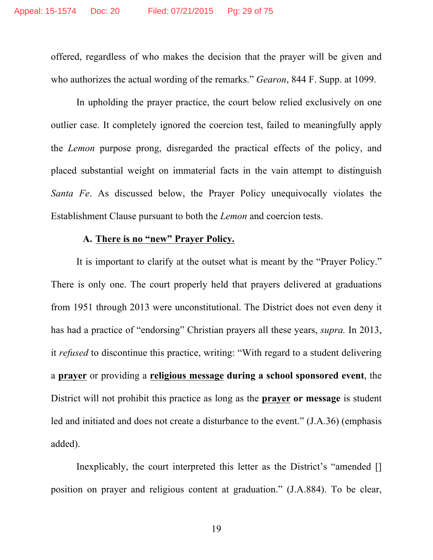offered, regardless of who makes the decision that the prayer will be given and who authorizes the actual wording of the remarks." *Gearon*, 844 F. Supp. at 1099.

In upholding the prayer practice, the court below relied exclusively on one outlier case. It completely ignored the coercion test, failed to meaningfully apply the *Lemon* purpose prong, disregarded the practical effects of the policy, and placed substantial weight on immaterial facts in the vain attempt to distinguish *Santa Fe*. As discussed below, the Prayer Policy unequivocally violates the Establishment Clause pursuant to both the *Lemon* and coercion tests.

#### **A. There is no "new" Prayer Policy.**

It is important to clarify at the outset what is meant by the "Prayer Policy." There is only one. The court properly held that prayers delivered at graduations from 1951 through 2013 were unconstitutional. The District does not even deny it has had a practice of "endorsing" Christian prayers all these years, *supra.* In 2013, it *refused* to discontinue this practice, writing: "With regard to a student delivering a **prayer** or providing a **religious message during a school sponsored event**, the District will not prohibit this practice as long as the **prayer or message** is student led and initiated and does not create a disturbance to the event." (J.A.36) (emphasis added).

Inexplicably, the court interpreted this letter as the District's "amended [] position on prayer and religious content at graduation." (J.A.884). To be clear,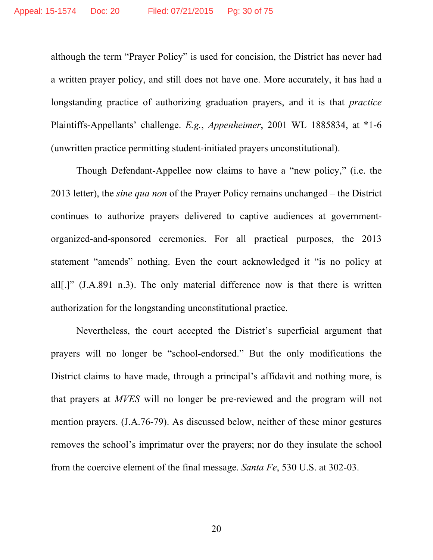although the term "Prayer Policy" is used for concision, the District has never had a written prayer policy, and still does not have one. More accurately, it has had a longstanding practice of authorizing graduation prayers, and it is that *practice* Plaintiffs-Appellants' challenge. *E.g.*, *Appenheimer*, 2001 WL 1885834, at \*1-6 (unwritten practice permitting student-initiated prayers unconstitutional).

Though Defendant-Appellee now claims to have a "new policy," (i.e. the 2013 letter), the *sine qua non* of the Prayer Policy remains unchanged – the District continues to authorize prayers delivered to captive audiences at governmentorganized-and-sponsored ceremonies. For all practical purposes, the 2013 statement "amends" nothing. Even the court acknowledged it "is no policy at all[.]" (J.A.891 n.3). The only material difference now is that there is written authorization for the longstanding unconstitutional practice.

Nevertheless, the court accepted the District's superficial argument that prayers will no longer be "school-endorsed." But the only modifications the District claims to have made, through a principal's affidavit and nothing more, is that prayers at *MVES* will no longer be pre-reviewed and the program will not mention prayers. (J.A.76-79). As discussed below, neither of these minor gestures removes the school's imprimatur over the prayers; nor do they insulate the school from the coercive element of the final message. *Santa Fe*, 530 U.S. at 302-03.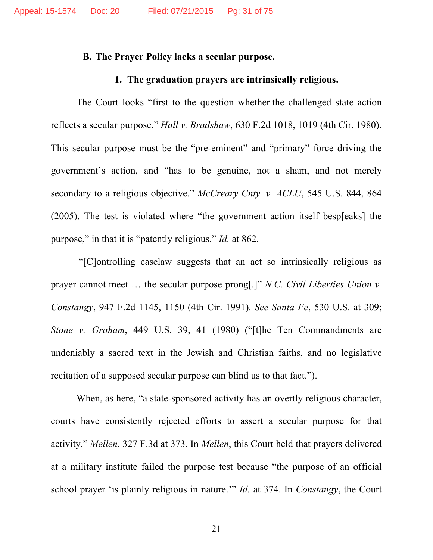#### **B. The Prayer Policy lacks a secular purpose.**

#### **1. The graduation prayers are intrinsically religious.**

The Court looks "first to the question whether the challenged state action reflects a secular purpose." *Hall v. Bradshaw*, 630 F.2d 1018, 1019 (4th Cir. 1980). This secular purpose must be the "pre-eminent" and "primary" force driving the government's action, and "has to be genuine, not a sham, and not merely secondary to a religious objective." *McCreary Cnty. v. ACLU*, 545 U.S. 844, 864 (2005). The test is violated where "the government action itself besp[eaks] the purpose," in that it is "patently religious." *Id.* at 862.

"[C]ontrolling caselaw suggests that an act so intrinsically religious as prayer cannot meet … the secular purpose prong[.]" *N.C. Civil Liberties Union v. Constangy*, 947 F.2d 1145, 1150 (4th Cir. 1991). *See Santa Fe*, 530 U.S. at 309; *Stone v. Graham*, 449 U.S. 39, 41 (1980) ("[t]he Ten Commandments are undeniably a sacred text in the Jewish and Christian faiths, and no legislative recitation of a supposed secular purpose can blind us to that fact.").

When, as here, "a state-sponsored activity has an overtly religious character, courts have consistently rejected efforts to assert a secular purpose for that activity." *Mellen*, 327 F.3d at 373. In *Mellen*, this Court held that prayers delivered at a military institute failed the purpose test because "the purpose of an official school prayer 'is plainly religious in nature.'" *Id.* at 374. In *Constangy*, the Court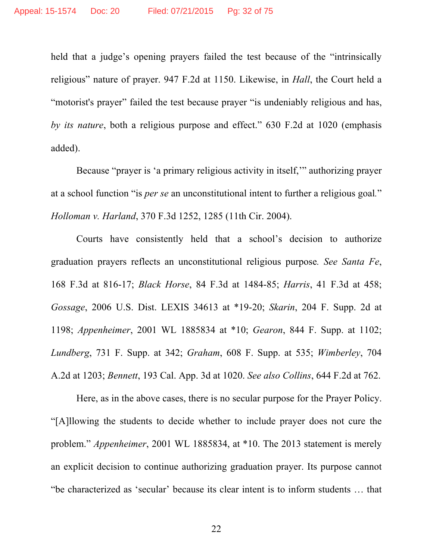held that a judge's opening prayers failed the test because of the "intrinsically religious" nature of prayer. 947 F.2d at 1150. Likewise, in *Hall*, the Court held a "motorist's prayer" failed the test because prayer "is undeniably religious and has, *by its nature*, both a religious purpose and effect." 630 F.2d at 1020 (emphasis added).

Because "prayer is 'a primary religious activity in itself,'" authorizing prayer at a school function "is *per se* an unconstitutional intent to further a religious goal*.*" *Holloman v. Harland*, 370 F.3d 1252, 1285 (11th Cir. 2004).

Courts have consistently held that a school's decision to authorize graduation prayers reflects an unconstitutional religious purpose*. See Santa Fe*, 168 F.3d at 816-17; *Black Horse*, 84 F.3d at 1484-85; *Harris*, 41 F.3d at 458; *Gossage*, 2006 U.S. Dist. LEXIS 34613 at \*19-20; *Skarin*, 204 F. Supp. 2d at 1198; *Appenheimer*, 2001 WL 1885834 at \*10; *Gearon*, 844 F. Supp. at 1102; *Lundberg*, 731 F. Supp. at 342; *Graham*, 608 F. Supp. at 535; *Wimberley*, 704 A.2d at 1203; *Bennett*, 193 Cal. App. 3d at 1020. *See also Collins*, 644 F.2d at 762.

Here, as in the above cases, there is no secular purpose for the Prayer Policy. "[A]llowing the students to decide whether to include prayer does not cure the problem." *Appenheimer*, 2001 WL 1885834, at \*10. The 2013 statement is merely an explicit decision to continue authorizing graduation prayer. Its purpose cannot "be characterized as 'secular' because its clear intent is to inform students … that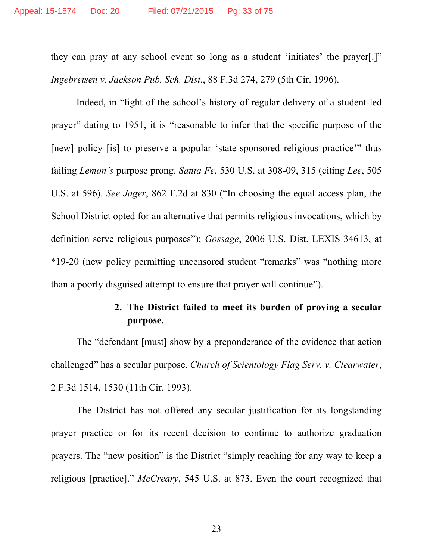they can pray at any school event so long as a student 'initiates' the prayer[.]" *Ingebretsen v. Jackson Pub. Sch. Dist*., 88 F.3d 274, 279 (5th Cir. 1996).

Indeed, in "light of the school's history of regular delivery of a student-led prayer" dating to 1951, it is "reasonable to infer that the specific purpose of the [new] policy [is] to preserve a popular 'state-sponsored religious practice'" thus failing *Lemon's* purpose prong. *Santa Fe*, 530 U.S. at 308-09, 315 (citing *Lee*, 505 U.S. at 596). *See Jager*, 862 F.2d at 830 ("In choosing the equal access plan, the School District opted for an alternative that permits religious invocations, which by definition serve religious purposes"); *Gossage*, 2006 U.S. Dist. LEXIS 34613, at \*19-20 (new policy permitting uncensored student "remarks" was "nothing more than a poorly disguised attempt to ensure that prayer will continue").

## **2. The District failed to meet its burden of proving a secular purpose.**

The "defendant [must] show by a preponderance of the evidence that action challenged" has a secular purpose. *Church of Scientology Flag Serv. v. Clearwater*, 2 F.3d 1514, 1530 (11th Cir. 1993).

The District has not offered any secular justification for its longstanding prayer practice or for its recent decision to continue to authorize graduation prayers. The "new position" is the District "simply reaching for any way to keep a religious [practice]." *McCreary*, 545 U.S. at 873. Even the court recognized that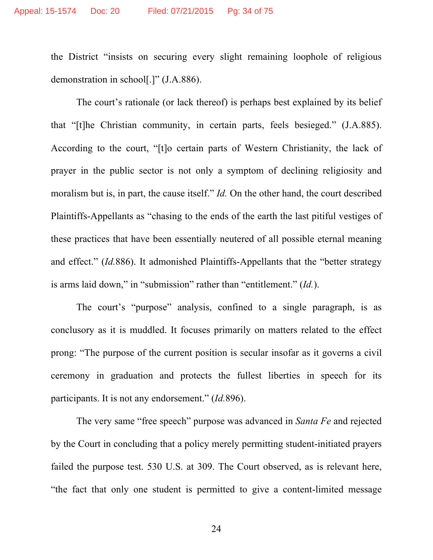the District "insists on securing every slight remaining loophole of religious demonstration in school[.]" (J.A.886).

The court's rationale (or lack thereof) is perhaps best explained by its belief that "[t]he Christian community, in certain parts, feels besieged." (J.A.885). According to the court, "[t]o certain parts of Western Christianity, the lack of prayer in the public sector is not only a symptom of declining religiosity and moralism but is, in part, the cause itself." *Id.* On the other hand, the court described Plaintiffs-Appellants as "chasing to the ends of the earth the last pitiful vestiges of these practices that have been essentially neutered of all possible eternal meaning and effect." (*Id.*886). It admonished Plaintiffs-Appellants that the "better strategy is arms laid down," in "submission" rather than "entitlement." (*Id.*).

The court's "purpose" analysis, confined to a single paragraph, is as conclusory as it is muddled. It focuses primarily on matters related to the effect prong: "The purpose of the current position is secular insofar as it governs a civil ceremony in graduation and protects the fullest liberties in speech for its participants. It is not any endorsement." (*Id.*896).

The very same "free speech" purpose was advanced in *Santa Fe* and rejected by the Court in concluding that a policy merely permitting student-initiated prayers failed the purpose test. 530 U.S. at 309. The Court observed, as is relevant here, "the fact that only one student is permitted to give a content-limited message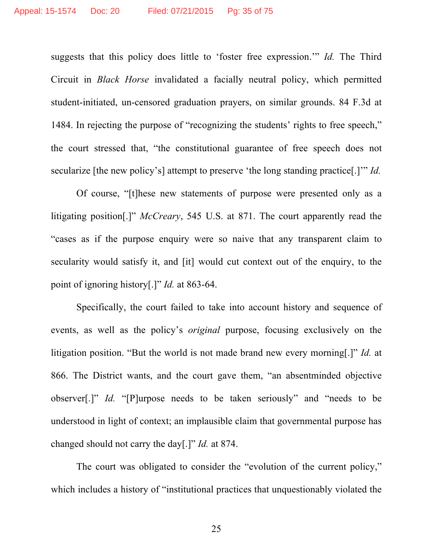suggests that this policy does little to 'foster free expression.'" *Id.* The Third Circuit in *Black Horse* invalidated a facially neutral policy, which permitted student-initiated, un-censored graduation prayers, on similar grounds. 84 F.3d at 1484. In rejecting the purpose of "recognizing the students' rights to free speech," the court stressed that, "the constitutional guarantee of free speech does not secularize [the new policy's] attempt to preserve 'the long standing practice[.]'" *Id.* 

Of course, "[t]hese new statements of purpose were presented only as a litigating position[.]" *McCreary*, 545 U.S. at 871. The court apparently read the "cases as if the purpose enquiry were so naive that any transparent claim to secularity would satisfy it, and [it] would cut context out of the enquiry, to the point of ignoring history[.]" *Id.* at 863-64.

Specifically, the court failed to take into account history and sequence of events, as well as the policy's *original* purpose, focusing exclusively on the litigation position. "But the world is not made brand new every morning[.]" *Id.* at 866. The District wants, and the court gave them, "an absentminded objective observer[.]" *Id.* "[P]urpose needs to be taken seriously" and "needs to be understood in light of context; an implausible claim that governmental purpose has changed should not carry the day[.]" *Id.* at 874.

The court was obligated to consider the "evolution of the current policy," which includes a history of "institutional practices that unquestionably violated the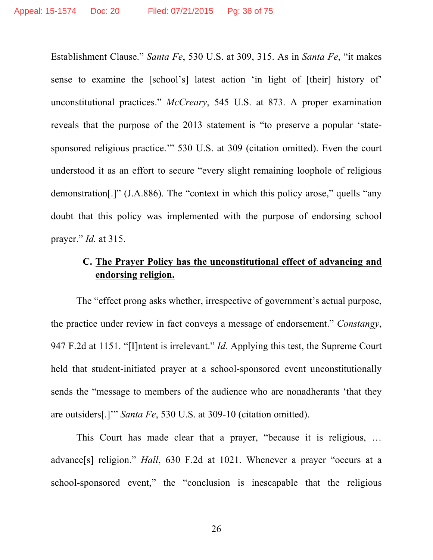Establishment Clause." *Santa Fe*, 530 U.S. at 309, 315. As in *Santa Fe*, "it makes sense to examine the [school's] latest action 'in light of [their] history of' unconstitutional practices." *McCreary*, 545 U.S. at 873. A proper examination reveals that the purpose of the 2013 statement is "to preserve a popular 'statesponsored religious practice.'" 530 U.S. at 309 (citation omitted). Even the court understood it as an effort to secure "every slight remaining loophole of religious demonstration[.]" (J.A.886). The "context in which this policy arose," quells "any doubt that this policy was implemented with the purpose of endorsing school prayer." *Id.* at 315.

## **C. The Prayer Policy has the unconstitutional effect of advancing and endorsing religion.**

The "effect prong asks whether, irrespective of government's actual purpose, the practice under review in fact conveys a message of endorsement." *Constangy*, 947 F.2d at 1151. "[I]ntent is irrelevant." *Id.* Applying this test, the Supreme Court held that student-initiated prayer at a school-sponsored event unconstitutionally sends the "message to members of the audience who are nonadherants 'that they are outsiders[.]'" *Santa Fe*, 530 U.S. at 309-10 (citation omitted).

This Court has made clear that a prayer, "because it is religious, … advance[s] religion." *Hall*, 630 F.2d at 1021. Whenever a prayer "occurs at a school-sponsored event," the "conclusion is inescapable that the religious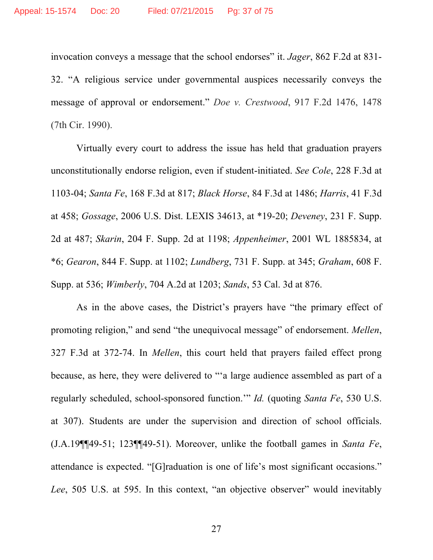invocation conveys a message that the school endorses" it. *Jager*, 862 F.2d at 831- 32. "A religious service under governmental auspices necessarily conveys the message of approval or endorsement." *Doe v. Crestwood*, 917 F.2d 1476, 1478 (7th Cir. 1990).

Virtually every court to address the issue has held that graduation prayers unconstitutionally endorse religion, even if student-initiated. *See Cole*, 228 F.3d at 1103-04; *Santa Fe*, 168 F.3d at 817; *Black Horse*, 84 F.3d at 1486; *Harris*, 41 F.3d at 458; *Gossage*, 2006 U.S. Dist. LEXIS 34613, at \*19-20; *Deveney*, 231 F. Supp. 2d at 487; *Skarin*, 204 F. Supp. 2d at 1198; *Appenheimer*, 2001 WL 1885834, at \*6; *Gearon*, 844 F. Supp. at 1102; *Lundberg*, 731 F. Supp. at 345; *Graham*, 608 F. Supp. at 536; *Wimberly*, 704 A.2d at 1203; *Sands*, 53 Cal. 3d at 876.

As in the above cases, the District's prayers have "the primary effect of promoting religion," and send "the unequivocal message" of endorsement. *Mellen*, 327 F.3d at 372-74. In *Mellen*, this court held that prayers failed effect prong because, as here, they were delivered to "'a large audience assembled as part of a regularly scheduled, school-sponsored function.'" *Id.* (quoting *Santa Fe*, 530 U.S. at 307). Students are under the supervision and direction of school officials. (J.A.19¶¶49-51; 123¶¶49-51). Moreover, unlike the football games in *Santa Fe*, attendance is expected. "[G]raduation is one of life's most significant occasions." *Lee*, 505 U.S. at 595. In this context, "an objective observer" would inevitably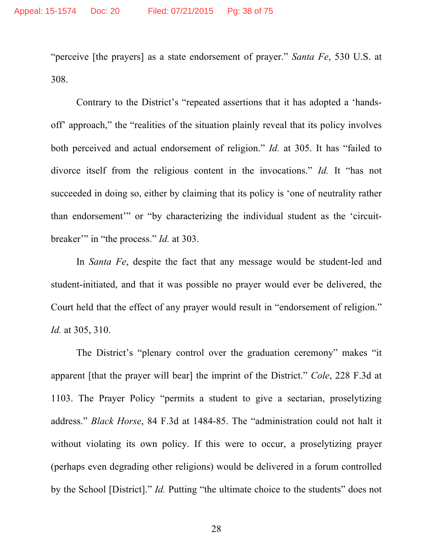"perceive [the prayers] as a state endorsement of prayer." *Santa Fe*, 530 U.S. at 308.

Contrary to the District's "repeated assertions that it has adopted a 'handsoff' approach," the "realities of the situation plainly reveal that its policy involves both perceived and actual endorsement of religion." *Id.* at 305. It has "failed to divorce itself from the religious content in the invocations." *Id.* It "has not succeeded in doing so, either by claiming that its policy is 'one of neutrality rather than endorsement'" or "by characterizing the individual student as the 'circuitbreaker'" in "the process." *Id.* at 303.

In *Santa Fe*, despite the fact that any message would be student-led and student-initiated, and that it was possible no prayer would ever be delivered, the Court held that the effect of any prayer would result in "endorsement of religion." *Id.* at 305, 310.

The District's "plenary control over the graduation ceremony" makes "it apparent [that the prayer will bear] the imprint of the District." *Cole*, 228 F.3d at 1103. The Prayer Policy "permits a student to give a sectarian, proselytizing address." *Black Horse*, 84 F.3d at 1484-85. The "administration could not halt it without violating its own policy. If this were to occur, a proselytizing prayer (perhaps even degrading other religions) would be delivered in a forum controlled by the School [District]." *Id.* Putting "the ultimate choice to the students" does not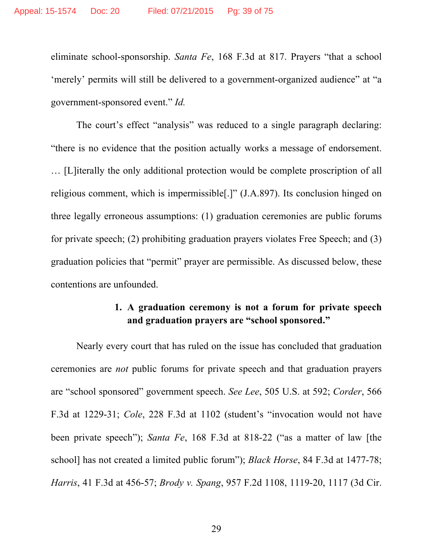eliminate school-sponsorship. *Santa Fe*, 168 F.3d at 817. Prayers "that a school 'merely' permits will still be delivered to a government-organized audience" at "a government-sponsored event." *Id.* 

The court's effect "analysis" was reduced to a single paragraph declaring: "there is no evidence that the position actually works a message of endorsement. … [L]iterally the only additional protection would be complete proscription of all religious comment, which is impermissible[.]" (J.A.897). Its conclusion hinged on three legally erroneous assumptions: (1) graduation ceremonies are public forums for private speech; (2) prohibiting graduation prayers violates Free Speech; and (3) graduation policies that "permit" prayer are permissible. As discussed below, these contentions are unfounded.

## **1. A graduation ceremony is not a forum for private speech and graduation prayers are "school sponsored."**

Nearly every court that has ruled on the issue has concluded that graduation ceremonies are *not* public forums for private speech and that graduation prayers are "school sponsored" government speech. *See Lee*, 505 U.S. at 592; *Corder*, 566 F.3d at 1229-31; *Cole*, 228 F.3d at 1102 (student's "invocation would not have been private speech"); *Santa Fe*, 168 F.3d at 818-22 ("as a matter of law [the school] has not created a limited public forum"); *Black Horse*, 84 F.3d at 1477-78; *Harris*, 41 F.3d at 456-57; *Brody v. Spang*, 957 F.2d 1108, 1119-20, 1117 (3d Cir.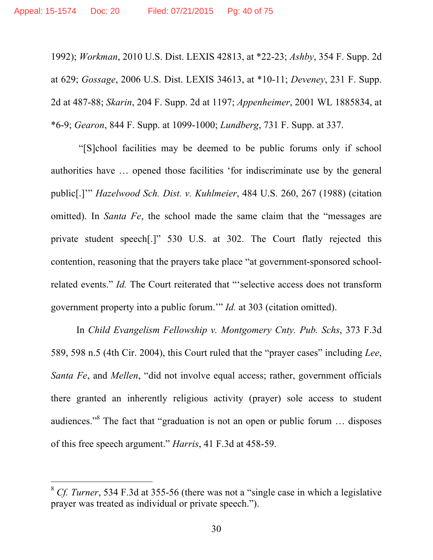1992); *Workman*, 2010 U.S. Dist. LEXIS 42813, at \*22-23; *Ashby*, 354 F. Supp. 2d at 629; *Gossage*, 2006 U.S. Dist. LEXIS 34613, at \*10-11; *Deveney*, 231 F. Supp. 2d at 487-88; *Skarin*, 204 F. Supp. 2d at 1197; *Appenheimer*, 2001 WL 1885834, at \*6-9; *Gearon*, 844 F. Supp. at 1099-1000; *Lundberg*, 731 F. Supp. at 337.

"[S]chool facilities may be deemed to be public forums only if school authorities have … opened those facilities 'for indiscriminate use by the general public[.]'" *Hazelwood Sch. Dist. v. Kuhlmeier*, 484 U.S. 260, 267 (1988) (citation omitted). In *Santa Fe*, the school made the same claim that the "messages are private student speech[.]" 530 U.S. at 302. The Court flatly rejected this contention, reasoning that the prayers take place "at government-sponsored schoolrelated events." *Id.* The Court reiterated that "'selective access does not transform government property into a public forum.'" *Id.* at 303 (citation omitted).

In *Child Evangelism Fellowship v. Montgomery Cnty. Pub. Schs*, 373 F.3d 589, 598 n.5 (4th Cir. 2004), this Court ruled that the "prayer cases" including *Lee*, *Santa Fe*, and *Mellen*, "did not involve equal access; rather, government officials there granted an inherently religious activity (prayer) sole access to student audiences."8 The fact that "graduation is not an open or public forum … disposes of this free speech argument." *Harris*, 41 F.3d at 458-59.

 $\overline{a}$ 

<sup>&</sup>lt;sup>8</sup> *Cf. Turner*, 534 F.3d at 355-56 (there was not a "single case in which a legislative prayer was treated as individual or private speech.").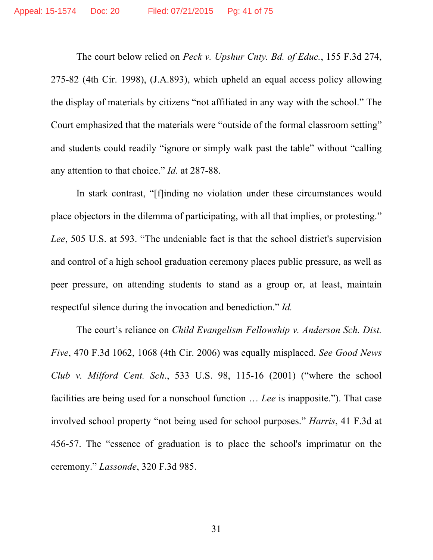The court below relied on *Peck v. Upshur Cnty. Bd. of Educ.*, 155 F.3d 274, 275-82 (4th Cir. 1998), (J.A.893), which upheld an equal access policy allowing the display of materials by citizens "not affiliated in any way with the school." The Court emphasized that the materials were "outside of the formal classroom setting" and students could readily "ignore or simply walk past the table" without "calling any attention to that choice." *Id.* at 287-88.

In stark contrast, "[f]inding no violation under these circumstances would place objectors in the dilemma of participating, with all that implies, or protesting." *Lee*, 505 U.S. at 593. "The undeniable fact is that the school district's supervision and control of a high school graduation ceremony places public pressure, as well as peer pressure, on attending students to stand as a group or, at least, maintain respectful silence during the invocation and benediction." *Id.*

The court's reliance on *Child Evangelism Fellowship v. Anderson Sch. Dist. Five*, 470 F.3d 1062, 1068 (4th Cir. 2006) was equally misplaced. *See Good News Club v. Milford Cent. Sch*., 533 U.S. 98, 115-16 (2001) ("where the school facilities are being used for a nonschool function … *Lee* is inapposite."). That case involved school property "not being used for school purposes." *Harris*, 41 F.3d at 456-57. The "essence of graduation is to place the school's imprimatur on the ceremony." *Lassonde*, 320 F.3d 985.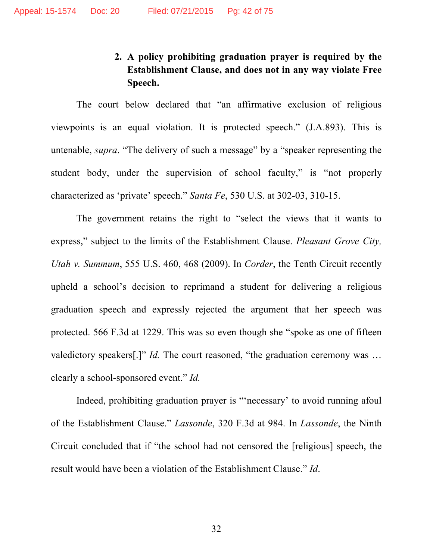# **2. A policy prohibiting graduation prayer is required by the Establishment Clause, and does not in any way violate Free Speech.**

The court below declared that "an affirmative exclusion of religious viewpoints is an equal violation. It is protected speech." (J.A.893). This is untenable, *supra*. "The delivery of such a message" by a "speaker representing the student body, under the supervision of school faculty," is "not properly characterized as 'private' speech." *Santa Fe*, 530 U.S. at 302-03, 310-15.

The government retains the right to "select the views that it wants to express," subject to the limits of the Establishment Clause. *Pleasant Grove City, Utah v. Summum*, 555 U.S. 460, 468 (2009). In *Corder*, the Tenth Circuit recently upheld a school's decision to reprimand a student for delivering a religious graduation speech and expressly rejected the argument that her speech was protected. 566 F.3d at 1229. This was so even though she "spoke as one of fifteen valedictory speakers[.]" *Id.* The court reasoned, "the graduation ceremony was … clearly a school-sponsored event." *Id.* 

Indeed, prohibiting graduation prayer is "'necessary' to avoid running afoul of the Establishment Clause." *Lassonde*, 320 F.3d at 984. In *Lassonde*, the Ninth Circuit concluded that if "the school had not censored the [religious] speech, the result would have been a violation of the Establishment Clause." *Id*.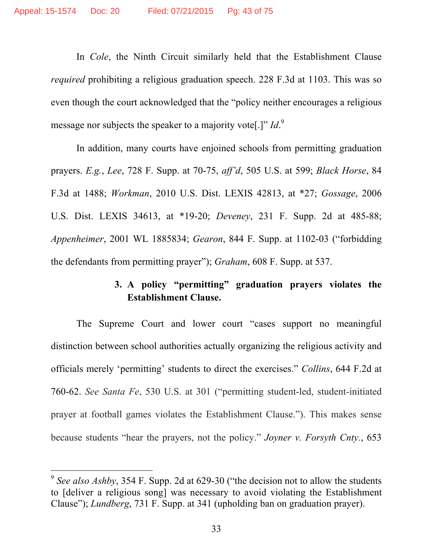In *Cole*, the Ninth Circuit similarly held that the Establishment Clause *required* prohibiting a religious graduation speech. 228 F.3d at 1103. This was so even though the court acknowledged that the "policy neither encourages a religious message nor subjects the speaker to a majority vote[.]" *Id*.<sup>9</sup>

In addition, many courts have enjoined schools from permitting graduation prayers. *E.g.*, *Lee*, 728 F. Supp. at 70-75, *aff'd*, 505 U.S. at 599; *Black Horse*, 84 F.3d at 1488; *Workman*, 2010 U.S. Dist. LEXIS 42813, at \*27; *Gossage*, 2006 U.S. Dist. LEXIS 34613, at \*19-20; *Deveney*, 231 F. Supp. 2d at 485-88; *Appenheimer*, 2001 WL 1885834; *Gearon*, 844 F. Supp. at 1102-03 ("forbidding the defendants from permitting prayer"); *Graham*, 608 F. Supp. at 537.

# **3. A policy "permitting" graduation prayers violates the Establishment Clause.**

The Supreme Court and lower court "cases support no meaningful distinction between school authorities actually organizing the religious activity and officials merely 'permitting' students to direct the exercises." *Collins*, 644 F.2d at 760-62. *See Santa Fe*, 530 U.S. at 301 ("permitting student-led, student-initiated prayer at football games violates the Establishment Clause."). This makes sense because students "hear the prayers, not the policy." *Joyner v. Forsyth Cnty.*, 653

 $\overline{a}$ 

<sup>9</sup> *See also Ashby*, 354 F. Supp. 2d at 629-30 ("the decision not to allow the students to [deliver a religious song] was necessary to avoid violating the Establishment Clause"); *Lundberg*, 731 F. Supp. at 341 (upholding ban on graduation prayer).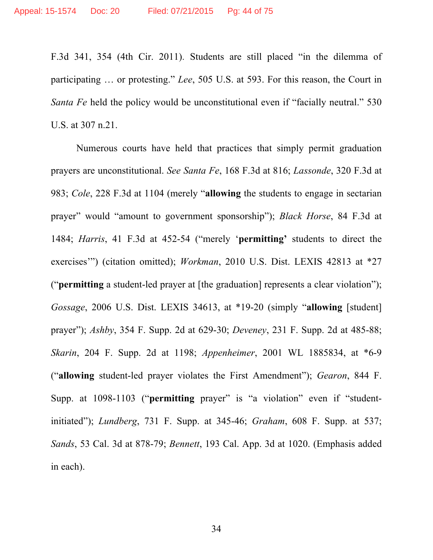F.3d 341, 354 (4th Cir. 2011). Students are still placed "in the dilemma of participating … or protesting." *Lee*, 505 U.S. at 593. For this reason, the Court in *Santa Fe* held the policy would be unconstitutional even if "facially neutral." 530 U.S. at 307 n.21.

Numerous courts have held that practices that simply permit graduation prayers are unconstitutional. *See Santa Fe*, 168 F.3d at 816; *Lassonde*, 320 F.3d at 983; *Cole*, 228 F.3d at 1104 (merely "**allowing** the students to engage in sectarian prayer" would "amount to government sponsorship"); *Black Horse*, 84 F.3d at 1484; *Harris*, 41 F.3d at 452-54 ("merely '**permitting'** students to direct the exercises'") (citation omitted); *Workman*, 2010 U.S. Dist. LEXIS 42813 at \*27 ("**permitting** a student-led prayer at [the graduation] represents a clear violation"); *Gossage*, 2006 U.S. Dist. LEXIS 34613, at \*19-20 (simply "**allowing** [student] prayer"); *Ashby*, 354 F. Supp. 2d at 629-30; *Deveney*, 231 F. Supp. 2d at 485-88; *Skarin*, 204 F. Supp. 2d at 1198; *Appenheimer*, 2001 WL 1885834, at \*6-9 ("**allowing** student-led prayer violates the First Amendment"); *Gearon*, 844 F. Supp. at 1098-1103 ("**permitting** prayer" is "a violation" even if "studentinitiated"); *Lundberg*, 731 F. Supp. at 345-46; *Graham*, 608 F. Supp. at 537; *Sands*, 53 Cal. 3d at 878-79; *Bennett*, 193 Cal. App. 3d at 1020. (Emphasis added in each).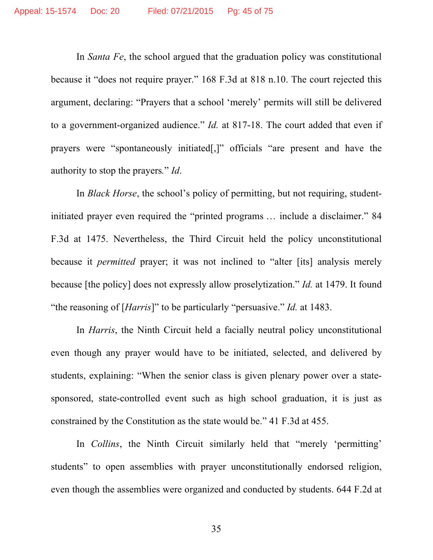In *Santa Fe*, the school argued that the graduation policy was constitutional because it "does not require prayer." 168 F.3d at 818 n.10. The court rejected this argument, declaring: "Prayers that a school 'merely' permits will still be delivered to a government-organized audience." *Id.* at 817-18. The court added that even if prayers were "spontaneously initiated[,]" officials "are present and have the authority to stop the prayers*.*" *Id*.

In *Black Horse*, the school's policy of permitting, but not requiring, studentinitiated prayer even required the "printed programs … include a disclaimer." 84 F.3d at 1475. Nevertheless, the Third Circuit held the policy unconstitutional because it *permitted* prayer; it was not inclined to "alter [its] analysis merely because [the policy] does not expressly allow proselytization." *Id.* at 1479. It found "the reasoning of [*Harris*]" to be particularly "persuasive." *Id.* at 1483.

In *Harris*, the Ninth Circuit held a facially neutral policy unconstitutional even though any prayer would have to be initiated, selected, and delivered by students, explaining: "When the senior class is given plenary power over a statesponsored, state-controlled event such as high school graduation, it is just as constrained by the Constitution as the state would be." 41 F.3d at 455.

In *Collins*, the Ninth Circuit similarly held that "merely 'permitting' students" to open assemblies with prayer unconstitutionally endorsed religion, even though the assemblies were organized and conducted by students. 644 F.2d at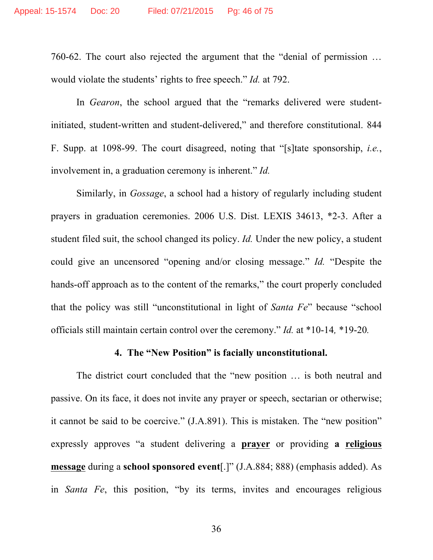760-62. The court also rejected the argument that the "denial of permission … would violate the students' rights to free speech." *Id.* at 792.

In *Gearon*, the school argued that the "remarks delivered were studentinitiated, student-written and student-delivered," and therefore constitutional. 844 F. Supp. at 1098-99. The court disagreed, noting that "[s]tate sponsorship, *i.e.*, involvement in, a graduation ceremony is inherent." *Id.*

Similarly, in *Gossage*, a school had a history of regularly including student prayers in graduation ceremonies. 2006 U.S. Dist. LEXIS 34613, \*2-3. After a student filed suit, the school changed its policy. *Id.* Under the new policy, a student could give an uncensored "opening and/or closing message." *Id.* "Despite the hands-off approach as to the content of the remarks," the court properly concluded that the policy was still "unconstitutional in light of *Santa Fe*" because "school officials still maintain certain control over the ceremony." *Id.* at \*10-14*,* \*19-20*.*

### **4. The "New Position" is facially unconstitutional.**

The district court concluded that the "new position … is both neutral and passive. On its face, it does not invite any prayer or speech, sectarian or otherwise; it cannot be said to be coercive." (J.A.891). This is mistaken. The "new position" expressly approves "a student delivering a **prayer** or providing **a religious message** during a **school sponsored event**[.]" (J.A.884; 888) (emphasis added). As in *Santa Fe*, this position, "by its terms, invites and encourages religious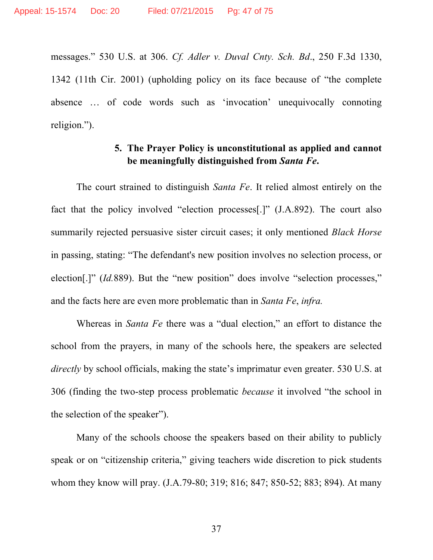messages." 530 U.S. at 306. *Cf. Adler v. Duval Cnty. Sch. Bd*., 250 F.3d 1330, 1342 (11th Cir. 2001) (upholding policy on its face because of "the complete absence … of code words such as 'invocation' unequivocally connoting religion.").

## **5. The Prayer Policy is unconstitutional as applied and cannot be meaningfully distinguished from** *Santa Fe***.**

The court strained to distinguish *Santa Fe*. It relied almost entirely on the fact that the policy involved "election processes[.]" (J.A.892). The court also summarily rejected persuasive sister circuit cases; it only mentioned *Black Horse*  in passing, stating: "The defendant's new position involves no selection process, or election<sup>[1]</sup>" (*Id.*889). But the "new position" does involve "selection processes," and the facts here are even more problematic than in *Santa Fe*, *infra.* 

Whereas in *Santa Fe* there was a "dual election," an effort to distance the school from the prayers, in many of the schools here, the speakers are selected *directly* by school officials, making the state's imprimatur even greater. 530 U.S. at 306 (finding the two-step process problematic *because* it involved "the school in the selection of the speaker").

Many of the schools choose the speakers based on their ability to publicly speak or on "citizenship criteria," giving teachers wide discretion to pick students whom they know will pray. (J.A.79-80; 319; 816; 847; 850-52; 883; 894). At many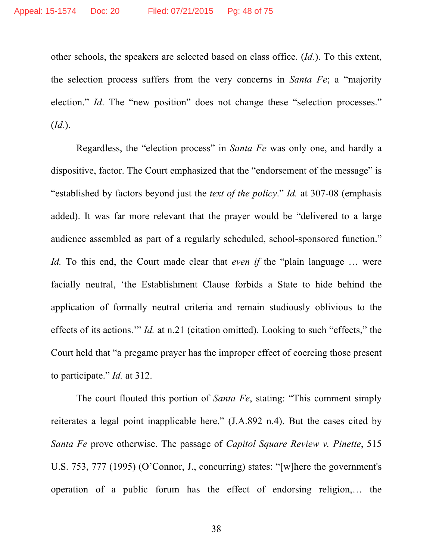other schools, the speakers are selected based on class office. (*Id.*). To this extent, the selection process suffers from the very concerns in *Santa Fe*; a "majority election." *Id*. The "new position" does not change these "selection processes." (*Id.*).

Regardless, the "election process" in *Santa Fe* was only one, and hardly a dispositive, factor. The Court emphasized that the "endorsement of the message" is "established by factors beyond just the *text of the policy*." *Id.* at 307-08 (emphasis added). It was far more relevant that the prayer would be "delivered to a large audience assembled as part of a regularly scheduled, school-sponsored function." *Id.* To this end, the Court made clear that *even if* the "plain language ... were facially neutral, 'the Establishment Clause forbids a State to hide behind the application of formally neutral criteria and remain studiously oblivious to the effects of its actions.'" *Id.* at n.21 (citation omitted). Looking to such "effects," the Court held that "a pregame prayer has the improper effect of coercing those present to participate." *Id.* at 312.

The court flouted this portion of *Santa Fe*, stating: "This comment simply reiterates a legal point inapplicable here." (J.A.892 n.4). But the cases cited by *Santa Fe* prove otherwise. The passage of *Capitol Square Review v. Pinette*, 515 U.S. 753, 777 (1995) (O'Connor, J., concurring) states: "[w]here the government's operation of a public forum has the effect of endorsing religion,… the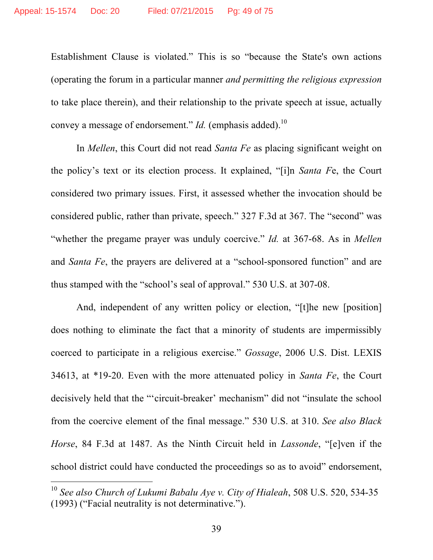Establishment Clause is violated." This is so "because the State's own actions (operating the forum in a particular manner *and permitting the religious expression* to take place therein), and their relationship to the private speech at issue, actually convey a message of endorsement." *Id.* (emphasis added).<sup>10</sup>

In *Mellen*, this Court did not read *Santa Fe* as placing significant weight on the policy's text or its election process. It explained, "[i]n *Santa F*e, the Court considered two primary issues. First, it assessed whether the invocation should be considered public, rather than private, speech." 327 F.3d at 367. The "second" was "whether the pregame prayer was unduly coercive." *Id.* at 367-68. As in *Mellen*  and *Santa Fe*, the prayers are delivered at a "school-sponsored function" and are thus stamped with the "school's seal of approval." 530 U.S. at 307-08.

And, independent of any written policy or election, "[t]he new [position] does nothing to eliminate the fact that a minority of students are impermissibly coerced to participate in a religious exercise." *Gossage*, 2006 U.S. Dist. LEXIS 34613, at \*19-20. Even with the more attenuated policy in *Santa Fe*, the Court decisively held that the "'circuit-breaker' mechanism" did not "insulate the school from the coercive element of the final message." 530 U.S. at 310. *See also Black Horse*, 84 F.3d at 1487. As the Ninth Circuit held in *Lassonde*, "[e]ven if the school district could have conducted the proceedings so as to avoid" endorsement,

 $\overline{a}$ 

<sup>10</sup> *See also Church of Lukumi Babalu Aye v. City of Hialeah*, 508 U.S. 520, 534-35 (1993) ("Facial neutrality is not determinative.").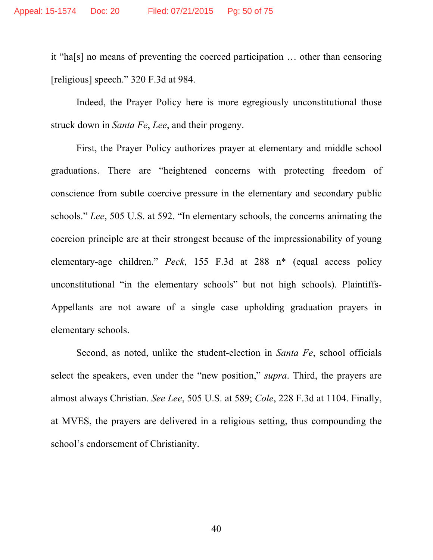it "ha[s] no means of preventing the coerced participation … other than censoring [religious] speech." 320 F.3d at 984.

Indeed, the Prayer Policy here is more egregiously unconstitutional those struck down in *Santa Fe*, *Lee*, and their progeny.

First, the Prayer Policy authorizes prayer at elementary and middle school graduations. There are "heightened concerns with protecting freedom of conscience from subtle coercive pressure in the elementary and secondary public schools." *Lee*, 505 U.S. at 592. "In elementary schools, the concerns animating the coercion principle are at their strongest because of the impressionability of young elementary-age children." *Peck*, 155 F.3d at 288 n\* (equal access policy unconstitutional "in the elementary schools" but not high schools). Plaintiffs-Appellants are not aware of a single case upholding graduation prayers in elementary schools.

Second, as noted, unlike the student-election in *Santa Fe*, school officials select the speakers, even under the "new position," *supra*. Third, the prayers are almost always Christian. *See Lee*, 505 U.S. at 589; *Cole*, 228 F.3d at 1104. Finally, at MVES, the prayers are delivered in a religious setting, thus compounding the school's endorsement of Christianity.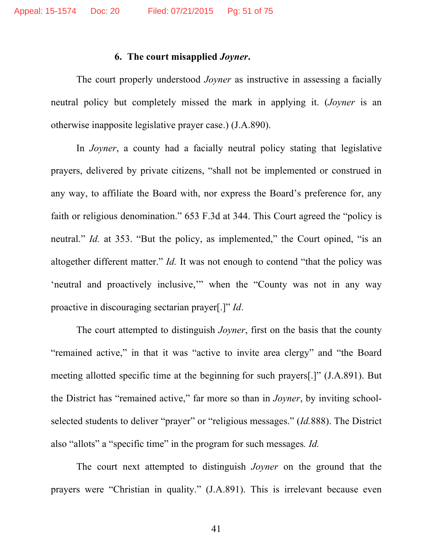#### **6. The court misapplied** *Joyner***.**

The court properly understood *Joyner* as instructive in assessing a facially neutral policy but completely missed the mark in applying it. (*Joyner* is an otherwise inapposite legislative prayer case.) (J.A.890).

In *Joyner*, a county had a facially neutral policy stating that legislative prayers, delivered by private citizens, "shall not be implemented or construed in any way, to affiliate the Board with, nor express the Board's preference for, any faith or religious denomination." 653 F.3d at 344. This Court agreed the "policy is neutral." *Id.* at 353. "But the policy, as implemented," the Court opined, "is an altogether different matter." *Id.* It was not enough to contend "that the policy was 'neutral and proactively inclusive,'" when the "County was not in any way proactive in discouraging sectarian prayer[.]" *Id*.

The court attempted to distinguish *Joyner*, first on the basis that the county "remained active," in that it was "active to invite area clergy" and "the Board meeting allotted specific time at the beginning for such prayers[.]" (J.A.891). But the District has "remained active," far more so than in *Joyner*, by inviting schoolselected students to deliver "prayer" or "religious messages." (*Id.*888). The District also "allots" a "specific time" in the program for such messages*. Id.* 

The court next attempted to distinguish *Joyner* on the ground that the prayers were "Christian in quality." (J.A.891). This is irrelevant because even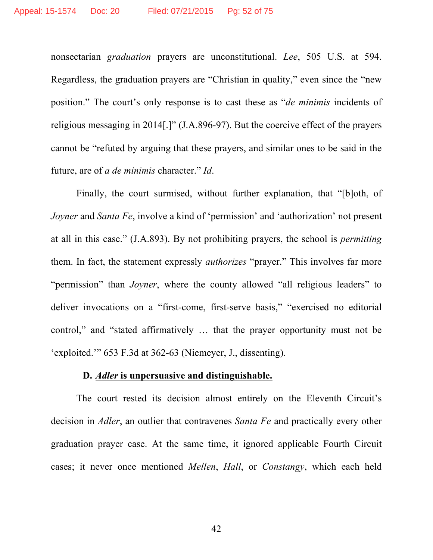nonsectarian *graduation* prayers are unconstitutional. *Lee*, 505 U.S. at 594. Regardless, the graduation prayers are "Christian in quality," even since the "new position." The court's only response is to cast these as "*de minimis* incidents of religious messaging in 2014[.]" (J.A.896-97). But the coercive effect of the prayers cannot be "refuted by arguing that these prayers, and similar ones to be said in the future, are of *a de minimis* character." *Id*.

Finally, the court surmised, without further explanation, that "[b]oth, of *Joyner* and *Santa Fe*, involve a kind of 'permission' and 'authorization' not present at all in this case." (J.A.893). By not prohibiting prayers, the school is *permitting* them. In fact, the statement expressly *authorizes* "prayer." This involves far more "permission" than *Joyner*, where the county allowed "all religious leaders" to deliver invocations on a "first-come, first-serve basis," "exercised no editorial control," and "stated affirmatively … that the prayer opportunity must not be 'exploited.'" 653 F.3d at 362-63 (Niemeyer, J., dissenting).

### **D.** *Adler* **is unpersuasive and distinguishable.**

The court rested its decision almost entirely on the Eleventh Circuit's decision in *Adler*, an outlier that contravenes *Santa Fe* and practically every other graduation prayer case. At the same time, it ignored applicable Fourth Circuit cases; it never once mentioned *Mellen*, *Hall*, or *Constangy*, which each held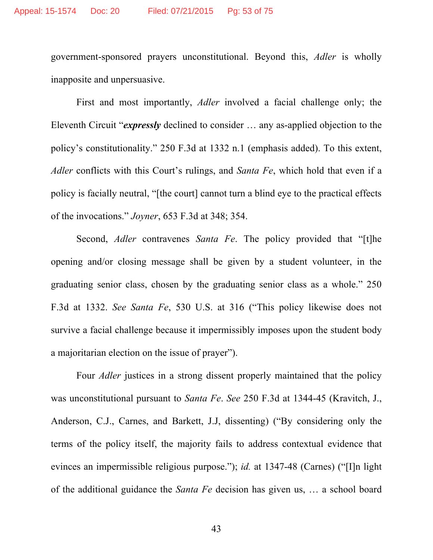government-sponsored prayers unconstitutional. Beyond this, *Adler* is wholly inapposite and unpersuasive.

First and most importantly, *Adler* involved a facial challenge only; the Eleventh Circuit "*expressly* declined to consider … any as-applied objection to the policy's constitutionality." 250 F.3d at 1332 n.1 (emphasis added). To this extent, *Adler* conflicts with this Court's rulings, and *Santa Fe*, which hold that even if a policy is facially neutral, "[the court] cannot turn a blind eye to the practical effects of the invocations." *Joyner*, 653 F.3d at 348; 354.

Second, *Adler* contravenes *Santa Fe*. The policy provided that "[t]he opening and/or closing message shall be given by a student volunteer, in the graduating senior class, chosen by the graduating senior class as a whole." 250 F.3d at 1332. *See Santa Fe*, 530 U.S. at 316 ("This policy likewise does not survive a facial challenge because it impermissibly imposes upon the student body a majoritarian election on the issue of prayer").

Four *Adler* justices in a strong dissent properly maintained that the policy was unconstitutional pursuant to *Santa Fe*. *See* 250 F.3d at 1344-45 (Kravitch, J., Anderson, C.J., Carnes, and Barkett, J.J, dissenting) ("By considering only the terms of the policy itself, the majority fails to address contextual evidence that evinces an impermissible religious purpose."); *id.* at 1347-48 (Carnes) ("[I]n light of the additional guidance the *Santa Fe* decision has given us, … a school board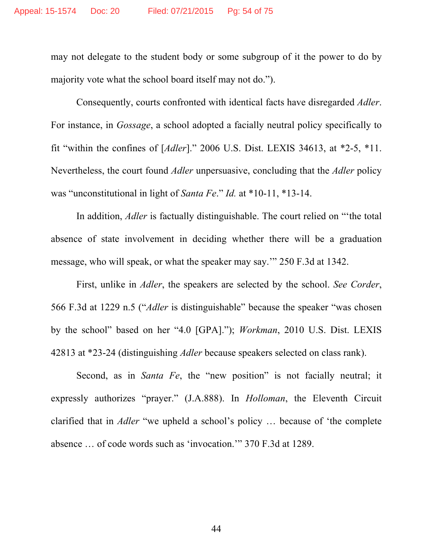may not delegate to the student body or some subgroup of it the power to do by majority vote what the school board itself may not do.").

Consequently, courts confronted with identical facts have disregarded *Adler*. For instance, in *Gossage*, a school adopted a facially neutral policy specifically to fit "within the confines of [*Adler*]." 2006 U.S. Dist. LEXIS 34613, at \*2-5, \*11. Nevertheless, the court found *Adler* unpersuasive, concluding that the *Adler* policy was "unconstitutional in light of *Santa Fe*." *Id.* at \*10-11, \*13-14.

In addition, *Adler* is factually distinguishable. The court relied on "'the total absence of state involvement in deciding whether there will be a graduation message, who will speak, or what the speaker may say.'" 250 F.3d at 1342.

First, unlike in *Adler*, the speakers are selected by the school. *See Corder*, 566 F.3d at 1229 n.5 ("*Adler* is distinguishable" because the speaker "was chosen by the school" based on her "4.0 [GPA]."); *Workman*, 2010 U.S. Dist. LEXIS 42813 at \*23-24 (distinguishing *Adler* because speakers selected on class rank).

Second, as in *Santa Fe*, the "new position" is not facially neutral; it expressly authorizes "prayer." (J.A.888). In *Holloman*, the Eleventh Circuit clarified that in *Adler* "we upheld a school's policy … because of 'the complete absence … of code words such as 'invocation.'" 370 F.3d at 1289.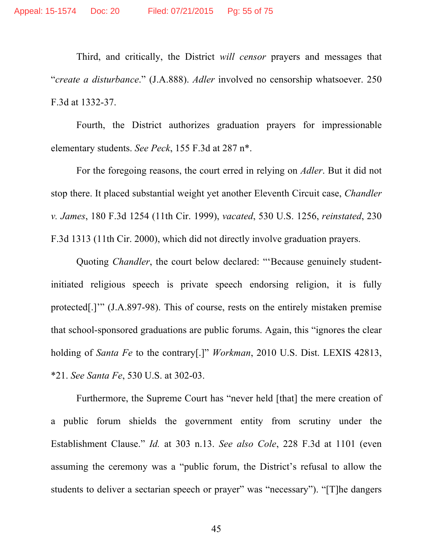Third, and critically, the District *will censor* prayers and messages that "*create a disturbance*." (J.A.888). *Adler* involved no censorship whatsoever. 250 F.3d at 1332-37.

Fourth, the District authorizes graduation prayers for impressionable elementary students. *See Peck*, 155 F.3d at 287 n\*.

For the foregoing reasons, the court erred in relying on *Adler*. But it did not stop there. It placed substantial weight yet another Eleventh Circuit case, *Chandler v. James*, 180 F.3d 1254 (11th Cir. 1999), *vacated*, 530 U.S. 1256, *reinstated*, 230 F.3d 1313 (11th Cir. 2000), which did not directly involve graduation prayers.

Quoting *Chandler*, the court below declared: "'Because genuinely studentinitiated religious speech is private speech endorsing religion, it is fully protected[.]'" (J.A.897-98). This of course, rests on the entirely mistaken premise that school-sponsored graduations are public forums. Again, this "ignores the clear holding of *Santa Fe* to the contrary[.]" *Workman*, 2010 U.S. Dist. LEXIS 42813, \*21. *See Santa Fe*, 530 U.S. at 302-03.

Furthermore, the Supreme Court has "never held [that] the mere creation of a public forum shields the government entity from scrutiny under the Establishment Clause." *Id.* at 303 n.13. *See also Cole*, 228 F.3d at 1101 (even assuming the ceremony was a "public forum, the District's refusal to allow the students to deliver a sectarian speech or prayer" was "necessary"). "[T]he dangers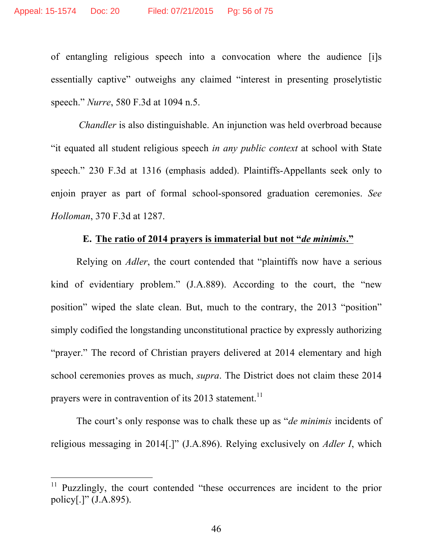of entangling religious speech into a convocation where the audience [i]s essentially captive" outweighs any claimed "interest in presenting proselytistic speech." *Nurre*, 580 F.3d at 1094 n.5.

*Chandler* is also distinguishable. An injunction was held overbroad because "it equated all student religious speech *in any public context* at school with State speech." 230 F.3d at 1316 (emphasis added). Plaintiffs-Appellants seek only to enjoin prayer as part of formal school-sponsored graduation ceremonies. *See Holloman*, 370 F.3d at 1287.

## **E. The ratio of 2014 prayers is immaterial but not "***de minimis***."**

Relying on *Adler*, the court contended that "plaintiffs now have a serious kind of evidentiary problem." (J.A.889). According to the court, the "new position" wiped the slate clean. But, much to the contrary, the 2013 "position" simply codified the longstanding unconstitutional practice by expressly authorizing "prayer." The record of Christian prayers delivered at 2014 elementary and high school ceremonies proves as much, *supra*. The District does not claim these 2014 prayers were in contravention of its  $2013$  statement.<sup>11</sup>

The court's only response was to chalk these up as "*de minimis* incidents of religious messaging in 2014[.]" (J.A.896). Relying exclusively on *Adler I*, which

 $\overline{a}$ 

<sup>&</sup>lt;sup>11</sup> Puzzlingly, the court contended "these occurrences are incident to the prior policy[.]" (J.A.895).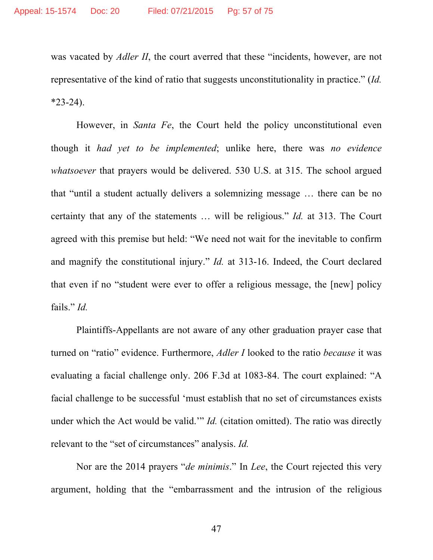was vacated by *Adler II*, the court averred that these "incidents, however, are not representative of the kind of ratio that suggests unconstitutionality in practice." (*Id.*   $*23-24$ ).

However, in *Santa Fe*, the Court held the policy unconstitutional even though it *had yet to be implemented*; unlike here, there was *no evidence whatsoever* that prayers would be delivered. 530 U.S. at 315. The school argued that "until a student actually delivers a solemnizing message … there can be no certainty that any of the statements … will be religious." *Id.* at 313. The Court agreed with this premise but held: "We need not wait for the inevitable to confirm and magnify the constitutional injury." *Id.* at 313-16. Indeed, the Court declared that even if no "student were ever to offer a religious message, the [new] policy fails." *Id.* 

Plaintiffs-Appellants are not aware of any other graduation prayer case that turned on "ratio" evidence. Furthermore, *Adler I* looked to the ratio *because* it was evaluating a facial challenge only. 206 F.3d at 1083-84. The court explained: "A facial challenge to be successful 'must establish that no set of circumstances exists under which the Act would be valid.'" *Id.* (citation omitted). The ratio was directly relevant to the "set of circumstances" analysis. *Id.* 

Nor are the 2014 prayers "*de minimis*." In *Lee*, the Court rejected this very argument, holding that the "embarrassment and the intrusion of the religious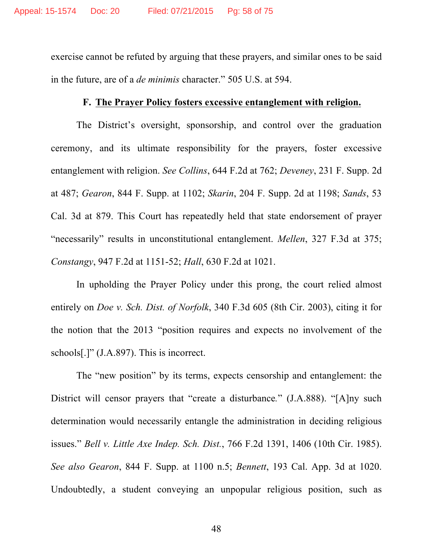exercise cannot be refuted by arguing that these prayers, and similar ones to be said in the future, are of a *de minimis* character." 505 U.S. at 594.

## **F. The Prayer Policy fosters excessive entanglement with religion.**

The District's oversight, sponsorship, and control over the graduation ceremony, and its ultimate responsibility for the prayers, foster excessive entanglement with religion. *See Collins*, 644 F.2d at 762; *Deveney*, 231 F. Supp. 2d at 487; *Gearon*, 844 F. Supp. at 1102; *Skarin*, 204 F. Supp. 2d at 1198; *Sands*, 53 Cal. 3d at 879. This Court has repeatedly held that state endorsement of prayer "necessarily" results in unconstitutional entanglement. *Mellen*, 327 F.3d at 375; *Constangy*, 947 F.2d at 1151-52; *Hall*, 630 F.2d at 1021.

In upholding the Prayer Policy under this prong, the court relied almost entirely on *Doe v. Sch. Dist. of Norfolk*, 340 F.3d 605 (8th Cir. 2003), citing it for the notion that the 2013 "position requires and expects no involvement of the schools[.]" (J.A.897). This is incorrect.

The "new position" by its terms, expects censorship and entanglement: the District will censor prayers that "create a disturbance*.*" (J.A.888). "[A]ny such determination would necessarily entangle the administration in deciding religious issues." *Bell v. Little Axe Indep. Sch. Dist.*, 766 F.2d 1391, 1406 (10th Cir. 1985). *See also Gearon*, 844 F. Supp. at 1100 n.5; *Bennett*, 193 Cal. App. 3d at 1020. Undoubtedly, a student conveying an unpopular religious position, such as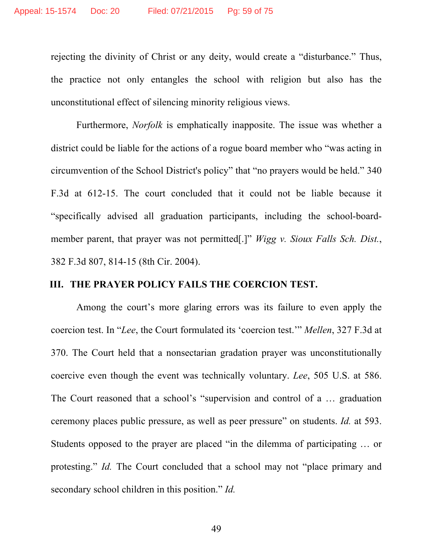rejecting the divinity of Christ or any deity, would create a "disturbance." Thus, the practice not only entangles the school with religion but also has the unconstitutional effect of silencing minority religious views.

Furthermore, *Norfolk* is emphatically inapposite. The issue was whether a district could be liable for the actions of a rogue board member who "was acting in circumvention of the School District's policy" that "no prayers would be held." 340 F.3d at 612-15. The court concluded that it could not be liable because it "specifically advised all graduation participants, including the school-boardmember parent, that prayer was not permitted[.]" *Wigg v. Sioux Falls Sch. Dist.*, 382 F.3d 807, 814-15 (8th Cir. 2004).

### **III. THE PRAYER POLICY FAILS THE COERCION TEST.**

Among the court's more glaring errors was its failure to even apply the coercion test. In "*Lee*, the Court formulated its 'coercion test.'" *Mellen*, 327 F.3d at 370. The Court held that a nonsectarian gradation prayer was unconstitutionally coercive even though the event was technically voluntary. *Lee*, 505 U.S. at 586. The Court reasoned that a school's "supervision and control of a … graduation ceremony places public pressure, as well as peer pressure" on students. *Id.* at 593. Students opposed to the prayer are placed "in the dilemma of participating … or protesting." *Id.* The Court concluded that a school may not "place primary and secondary school children in this position." *Id.*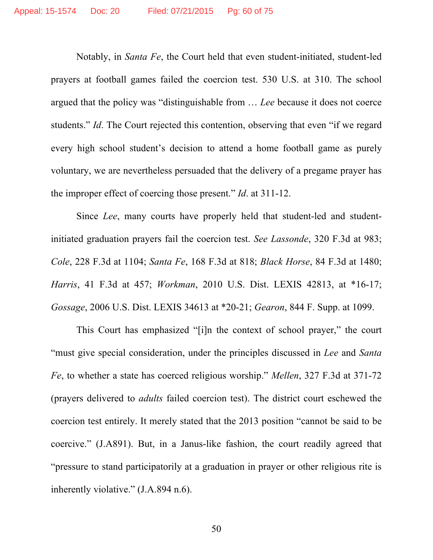Notably, in *Santa Fe*, the Court held that even student-initiated, student-led prayers at football games failed the coercion test. 530 U.S. at 310. The school argued that the policy was "distinguishable from … *Lee* because it does not coerce students." *Id*. The Court rejected this contention, observing that even "if we regard every high school student's decision to attend a home football game as purely voluntary, we are nevertheless persuaded that the delivery of a pregame prayer has the improper effect of coercing those present." *Id*. at 311-12.

Since *Lee*, many courts have properly held that student-led and studentinitiated graduation prayers fail the coercion test. *See Lassonde*, 320 F.3d at 983; *Cole*, 228 F.3d at 1104; *Santa Fe*, 168 F.3d at 818; *Black Horse*, 84 F.3d at 1480; *Harris*, 41 F.3d at 457; *Workman*, 2010 U.S. Dist. LEXIS 42813, at \*16-17; *Gossage*, 2006 U.S. Dist. LEXIS 34613 at \*20-21; *Gearon*, 844 F. Supp. at 1099.

This Court has emphasized "[i]n the context of school prayer," the court "must give special consideration, under the principles discussed in *Lee* and *Santa Fe*, to whether a state has coerced religious worship." *Mellen*, 327 F.3d at 371-72 (prayers delivered to *adults* failed coercion test). The district court eschewed the coercion test entirely. It merely stated that the 2013 position "cannot be said to be coercive." (J.A891). But, in a Janus-like fashion, the court readily agreed that "pressure to stand participatorily at a graduation in prayer or other religious rite is inherently violative." (J.A.894 n.6).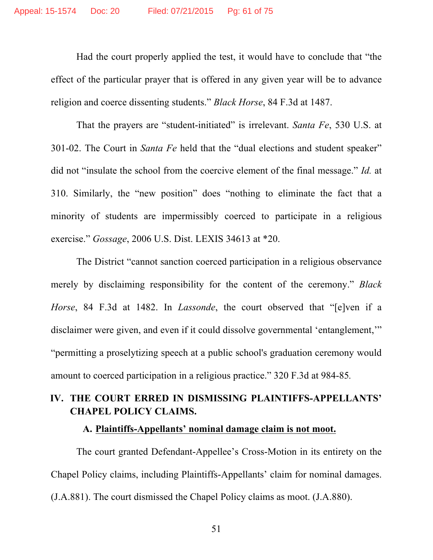Had the court properly applied the test, it would have to conclude that "the effect of the particular prayer that is offered in any given year will be to advance religion and coerce dissenting students." *Black Horse*, 84 F.3d at 1487.

That the prayers are "student-initiated" is irrelevant. *Santa Fe*, 530 U.S. at 301-02. The Court in *Santa Fe* held that the "dual elections and student speaker" did not "insulate the school from the coercive element of the final message." *Id.* at 310. Similarly, the "new position" does "nothing to eliminate the fact that a minority of students are impermissibly coerced to participate in a religious exercise." *Gossage*, 2006 U.S. Dist. LEXIS 34613 at \*20.

The District "cannot sanction coerced participation in a religious observance merely by disclaiming responsibility for the content of the ceremony." *Black Horse*, 84 F.3d at 1482. In *Lassonde*, the court observed that "[e]ven if a disclaimer were given, and even if it could dissolve governmental 'entanglement,'" "permitting a proselytizing speech at a public school's graduation ceremony would amount to coerced participation in a religious practice." 320 F.3d at 984-85*.*

# **IV. THE COURT ERRED IN DISMISSING PLAINTIFFS-APPELLANTS' CHAPEL POLICY CLAIMS.**

### **A. Plaintiffs-Appellants' nominal damage claim is not moot.**

The court granted Defendant-Appellee's Cross-Motion in its entirety on the Chapel Policy claims, including Plaintiffs-Appellants' claim for nominal damages. (J.A.881). The court dismissed the Chapel Policy claims as moot. (J.A.880).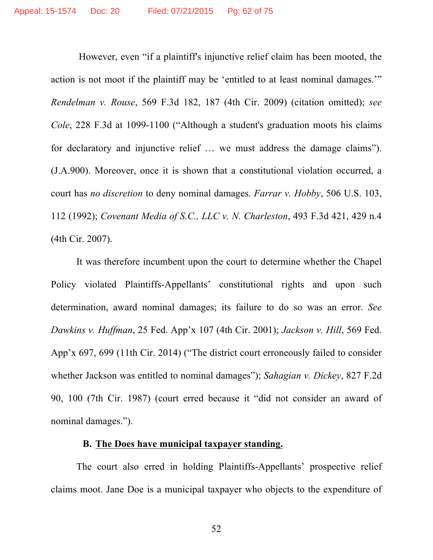However, even "if a plaintiff's injunctive relief claim has been mooted, the action is not moot if the plaintiff may be 'entitled to at least nominal damages.'" *Rendelman v. Rouse*, 569 F.3d 182, 187 (4th Cir. 2009) (citation omitted); *see Cole*, 228 F.3d at 1099-1100 ("Although a student's graduation moots his claims for declaratory and injunctive relief … we must address the damage claims"). (J.A.900). Moreover, once it is shown that a constitutional violation occurred, a court has *no discretion* to deny nominal damages. *Farrar v. Hobby*, 506 U.S. 103, 112 (1992); *Covenant Media of S.C., LLC v. N. Charleston*, 493 F.3d 421, 429 n.4 (4th Cir. 2007).

It was therefore incumbent upon the court to determine whether the Chapel Policy violated Plaintiffs-Appellants' constitutional rights and upon such determination, award nominal damages; its failure to do so was an error. *See Dawkins v. Huffman*, 25 Fed. App'x 107 (4th Cir. 2001); *Jackson v. Hill*, 569 Fed. App'x 697, 699 (11th Cir. 2014) ("The district court erroneously failed to consider whether Jackson was entitled to nominal damages"); *Sahagian v. Dickey*, 827 F.2d 90, 100 (7th Cir. 1987) (court erred because it "did not consider an award of nominal damages.").

### **B. The Does have municipal taxpayer standing.**

The court also erred in holding Plaintiffs-Appellants' prospective relief claims moot. Jane Doe is a municipal taxpayer who objects to the expenditure of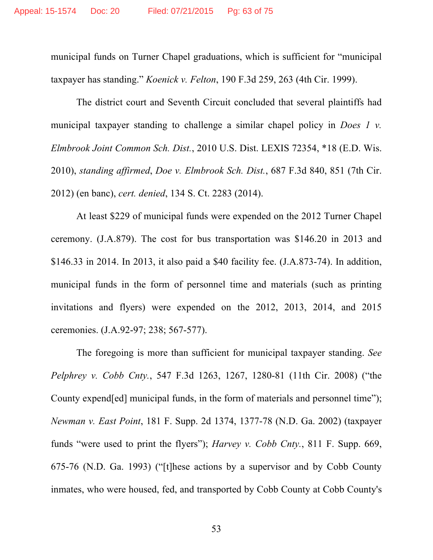municipal funds on Turner Chapel graduations, which is sufficient for "municipal taxpayer has standing." *Koenick v. Felton*, 190 F.3d 259, 263 (4th Cir. 1999).

The district court and Seventh Circuit concluded that several plaintiffs had municipal taxpayer standing to challenge a similar chapel policy in *Does 1 v. Elmbrook Joint Common Sch. Dist.*, 2010 U.S. Dist. LEXIS 72354, \*18 (E.D. Wis. 2010), *standing affirmed*, *Doe v. Elmbrook Sch. Dist.*, 687 F.3d 840, 851 (7th Cir. 2012) (en banc), *cert. denied*, 134 S. Ct. 2283 (2014).

At least \$229 of municipal funds were expended on the 2012 Turner Chapel ceremony. (J.A.879). The cost for bus transportation was \$146.20 in 2013 and \$146.33 in 2014. In 2013, it also paid a \$40 facility fee. (J.A.873-74). In addition, municipal funds in the form of personnel time and materials (such as printing invitations and flyers) were expended on the 2012, 2013, 2014, and 2015 ceremonies. (J.A.92-97; 238; 567-577).

The foregoing is more than sufficient for municipal taxpayer standing. *See Pelphrey v. Cobb Cnty.*, 547 F.3d 1263, 1267, 1280-81 (11th Cir. 2008) ("the County expend[ed] municipal funds, in the form of materials and personnel time"); *Newman v. East Point*, 181 F. Supp. 2d 1374, 1377-78 (N.D. Ga. 2002) (taxpayer funds "were used to print the flyers"); *Harvey v. Cobb Cnty.*, 811 F. Supp. 669, 675-76 (N.D. Ga. 1993) ("[t]hese actions by a supervisor and by Cobb County inmates, who were housed, fed, and transported by Cobb County at Cobb County's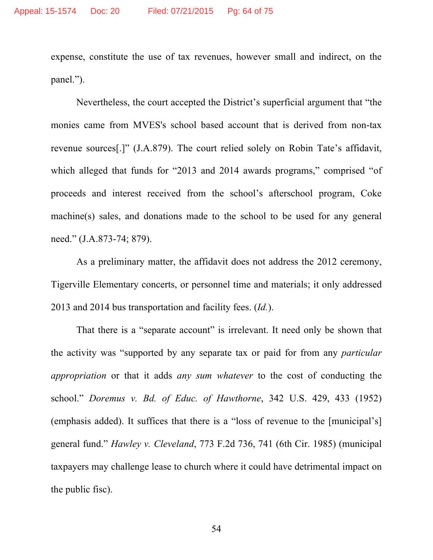expense, constitute the use of tax revenues, however small and indirect, on the panel.").

Nevertheless, the court accepted the District's superficial argument that "the monies came from MVES's school based account that is derived from non-tax revenue sources[.]" (J.A.879). The court relied solely on Robin Tate's affidavit, which alleged that funds for "2013 and 2014 awards programs," comprised "of proceeds and interest received from the school's afterschool program, Coke machine(s) sales, and donations made to the school to be used for any general need." (J.A.873-74; 879).

As a preliminary matter, the affidavit does not address the 2012 ceremony, Tigerville Elementary concerts, or personnel time and materials; it only addressed 2013 and 2014 bus transportation and facility fees. (*Id.*).

That there is a "separate account" is irrelevant. It need only be shown that the activity was "supported by any separate tax or paid for from any *particular appropriation* or that it adds *any sum whatever* to the cost of conducting the school." *Doremus v. Bd. of Educ. of Hawthorne*, 342 U.S. 429, 433 (1952) (emphasis added). It suffices that there is a "loss of revenue to the [municipal's] general fund." *Hawley v. Cleveland*, 773 F.2d 736, 741 (6th Cir. 1985) (municipal taxpayers may challenge lease to church where it could have detrimental impact on the public fisc).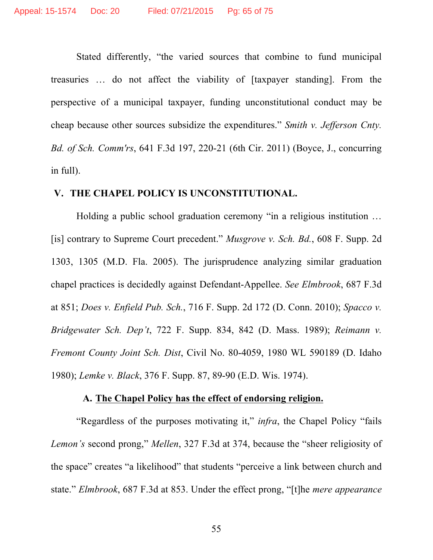Stated differently, "the varied sources that combine to fund municipal treasuries … do not affect the viability of [taxpayer standing]. From the perspective of a municipal taxpayer, funding unconstitutional conduct may be cheap because other sources subsidize the expenditures." *Smith v. Jefferson Cnty. Bd. of Sch. Comm'rs*, 641 F.3d 197, 220-21 (6th Cir. 2011) (Boyce, J., concurring in full).

### **V. THE CHAPEL POLICY IS UNCONSTITUTIONAL.**

Holding a public school graduation ceremony "in a religious institution … [is] contrary to Supreme Court precedent." *Musgrove v. Sch. Bd.*, 608 F. Supp. 2d 1303, 1305 (M.D. Fla. 2005). The jurisprudence analyzing similar graduation chapel practices is decidedly against Defendant-Appellee. *See Elmbrook*, 687 F.3d at 851; *Does v. Enfield Pub. Sch.*, 716 F. Supp. 2d 172 (D. Conn. 2010); *Spacco v. Bridgewater Sch. Dep't*, 722 F. Supp. 834, 842 (D. Mass. 1989); *Reimann v. Fremont County Joint Sch. Dist*, Civil No. 80-4059, 1980 WL 590189 (D. Idaho 1980); *Lemke v. Black*, 376 F. Supp. 87, 89-90 (E.D. Wis. 1974).

### **A. The Chapel Policy has the effect of endorsing religion.**

"Regardless of the purposes motivating it," *infra*, the Chapel Policy "fails *Lemon's* second prong," *Mellen*, 327 F.3d at 374, because the "sheer religiosity of the space" creates "a likelihood" that students "perceive a link between church and state." *Elmbrook*, 687 F.3d at 853. Under the effect prong, "[t]he *mere appearance*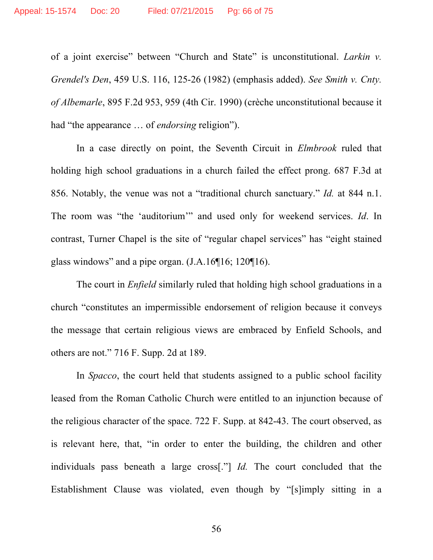of a joint exercise" between "Church and State" is unconstitutional. *Larkin v. Grendel's Den*, 459 U.S. 116, 125-26 (1982) (emphasis added). *See Smith v. Cnty. of Albemarle*, 895 F.2d 953, 959 (4th Cir. 1990) (crèche unconstitutional because it had "the appearance … of *endorsing* religion").

In a case directly on point, the Seventh Circuit in *Elmbrook* ruled that holding high school graduations in a church failed the effect prong. 687 F.3d at 856. Notably, the venue was not a "traditional church sanctuary." *Id.* at 844 n.1. The room was "the 'auditorium'" and used only for weekend services. *Id*. In contrast, Turner Chapel is the site of "regular chapel services" has "eight stained glass windows" and a pipe organ. (J.A.16¶16; 120¶16).

The court in *Enfield* similarly ruled that holding high school graduations in a church "constitutes an impermissible endorsement of religion because it conveys the message that certain religious views are embraced by Enfield Schools, and others are not." 716 F. Supp. 2d at 189.

In *Spacco*, the court held that students assigned to a public school facility leased from the Roman Catholic Church were entitled to an injunction because of the religious character of the space. 722 F. Supp. at 842-43. The court observed, as is relevant here, that, "in order to enter the building, the children and other individuals pass beneath a large cross[."] *Id.* The court concluded that the Establishment Clause was violated, even though by "[s]imply sitting in a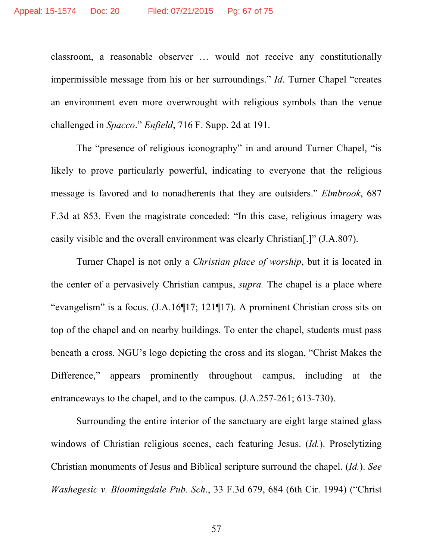classroom, a reasonable observer … would not receive any constitutionally impermissible message from his or her surroundings." *Id*. Turner Chapel "creates an environment even more overwrought with religious symbols than the venue challenged in *Spacco*." *Enfield*, 716 F. Supp. 2d at 191.

The "presence of religious iconography" in and around Turner Chapel, "is likely to prove particularly powerful, indicating to everyone that the religious message is favored and to nonadherents that they are outsiders." *Elmbrook*, 687 F.3d at 853. Even the magistrate conceded: "In this case, religious imagery was easily visible and the overall environment was clearly Christian[.]" (J.A.807).

Turner Chapel is not only a *Christian place of worship*, but it is located in the center of a pervasively Christian campus, *supra.* The chapel is a place where "evangelism" is a focus. (J.A.16¶17; 121¶17). A prominent Christian cross sits on top of the chapel and on nearby buildings. To enter the chapel, students must pass beneath a cross. NGU's logo depicting the cross and its slogan, "Christ Makes the Difference," appears prominently throughout campus, including at the entranceways to the chapel, and to the campus. (J.A.257-261; 613-730).

Surrounding the entire interior of the sanctuary are eight large stained glass windows of Christian religious scenes, each featuring Jesus. (*Id.*). Proselytizing Christian monuments of Jesus and Biblical scripture surround the chapel. (*Id.*). *See Washegesic v. Bloomingdale Pub. Sch*., 33 F.3d 679, 684 (6th Cir. 1994) ("Christ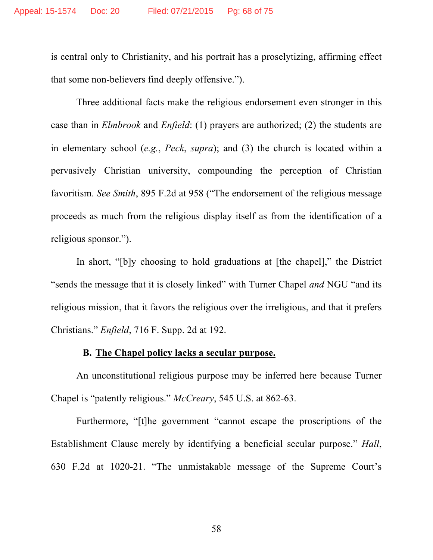is central only to Christianity, and his portrait has a proselytizing, affirming effect that some non-believers find deeply offensive.").

Three additional facts make the religious endorsement even stronger in this case than in *Elmbrook* and *Enfield*: (1) prayers are authorized; (2) the students are in elementary school (*e.g.*, *Peck*, *supra*); and (3) the church is located within a pervasively Christian university, compounding the perception of Christian favoritism. *See Smith*, 895 F.2d at 958 ("The endorsement of the religious message proceeds as much from the religious display itself as from the identification of a religious sponsor.").

In short, "[b]y choosing to hold graduations at [the chapel]," the District "sends the message that it is closely linked" with Turner Chapel *and* NGU "and its religious mission, that it favors the religious over the irreligious, and that it prefers Christians." *Enfield*, 716 F. Supp. 2d at 192.

## **B. The Chapel policy lacks a secular purpose.**

An unconstitutional religious purpose may be inferred here because Turner Chapel is "patently religious." *McCreary*, 545 U.S. at 862-63.

Furthermore, "[t]he government "cannot escape the proscriptions of the Establishment Clause merely by identifying a beneficial secular purpose." *Hall*, 630 F.2d at 1020-21. "The unmistakable message of the Supreme Court's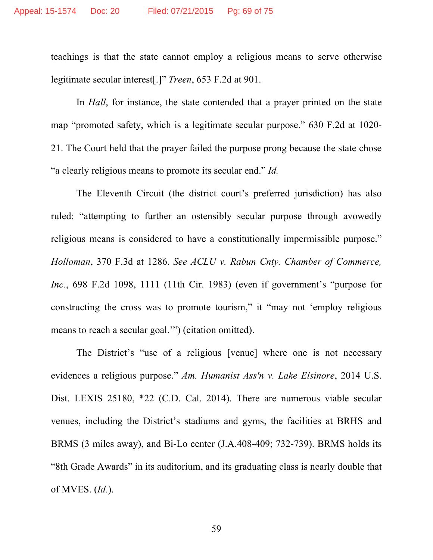teachings is that the state cannot employ a religious means to serve otherwise legitimate secular interest[.]" *Treen*, 653 F.2d at 901.

In *Hall*, for instance, the state contended that a prayer printed on the state map "promoted safety, which is a legitimate secular purpose." 630 F.2d at 1020- 21. The Court held that the prayer failed the purpose prong because the state chose "a clearly religious means to promote its secular end." *Id.*

The Eleventh Circuit (the district court's preferred jurisdiction) has also ruled: "attempting to further an ostensibly secular purpose through avowedly religious means is considered to have a constitutionally impermissible purpose." *Holloman*, 370 F.3d at 1286. *See ACLU v. Rabun Cnty. Chamber of Commerce, Inc.*, 698 F.2d 1098, 1111 (11th Cir. 1983) (even if government's "purpose for constructing the cross was to promote tourism," it "may not 'employ religious means to reach a secular goal.'") (citation omitted).

The District's "use of a religious [venue] where one is not necessary evidences a religious purpose." *Am. Humanist Ass'n v. Lake Elsinore*, 2014 U.S. Dist. LEXIS 25180, \*22 (C.D. Cal. 2014). There are numerous viable secular venues, including the District's stadiums and gyms, the facilities at BRHS and BRMS (3 miles away), and Bi-Lo center (J.A.408-409; 732-739). BRMS holds its "8th Grade Awards" in its auditorium, and its graduating class is nearly double that of MVES. (*Id.*).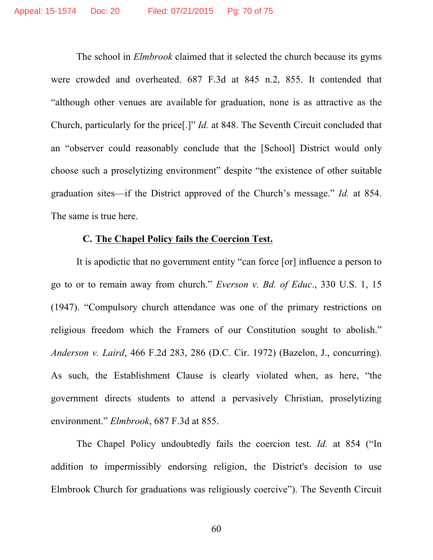The school in *Elmbrook* claimed that it selected the church because its gyms were crowded and overheated. 687 F.3d at 845 n.2, 855. It contended that "although other venues are available for graduation, none is as attractive as the Church, particularly for the price[.]" *Id.* at 848. The Seventh Circuit concluded that an "observer could reasonably conclude that the [School] District would only choose such a proselytizing environment" despite "the existence of other suitable graduation sites—if the District approved of the Church's message." *Id.* at 854. The same is true here.

## **C. The Chapel Policy fails the Coercion Test.**

It is apodictic that no government entity "can force [or] influence a person to go to or to remain away from church." *Everson v. Bd. of Educ*., 330 U.S. 1, 15 (1947). "Compulsory church attendance was one of the primary restrictions on religious freedom which the Framers of our Constitution sought to abolish." *Anderson v. Laird*, 466 F.2d 283, 286 (D.C. Cir. 1972) (Bazelon, J., concurring). As such, the Establishment Clause is clearly violated when, as here, "the government directs students to attend a pervasively Christian, proselytizing environment." *Elmbrook*, 687 F.3d at 855.

The Chapel Policy undoubtedly fails the coercion test. *Id.* at 854 ("In addition to impermissibly endorsing religion, the District's decision to use Elmbrook Church for graduations was religiously coercive"). The Seventh Circuit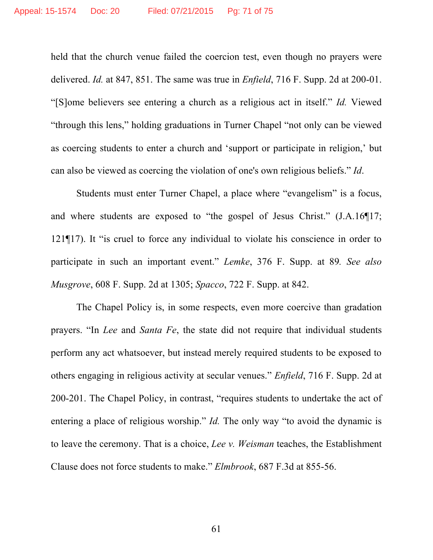held that the church venue failed the coercion test, even though no prayers were delivered. *Id.* at 847, 851. The same was true in *Enfield*, 716 F. Supp. 2d at 200-01. "[S]ome believers see entering a church as a religious act in itself." *Id.* Viewed "through this lens," holding graduations in Turner Chapel "not only can be viewed as coercing students to enter a church and 'support or participate in religion,' but can also be viewed as coercing the violation of one's own religious beliefs." *Id*.

Students must enter Turner Chapel, a place where "evangelism" is a focus, and where students are exposed to "the gospel of Jesus Christ." (J.A.16¶17; 121¶17). It "is cruel to force any individual to violate his conscience in order to participate in such an important event." *Lemke*, 376 F. Supp. at 89*. See also Musgrove*, 608 F. Supp. 2d at 1305; *Spacco*, 722 F. Supp. at 842.

The Chapel Policy is, in some respects, even more coercive than gradation prayers. "In *Lee* and *Santa Fe*, the state did not require that individual students perform any act whatsoever, but instead merely required students to be exposed to others engaging in religious activity at secular venues." *Enfield*, 716 F. Supp. 2d at 200-201. The Chapel Policy, in contrast, "requires students to undertake the act of entering a place of religious worship." *Id.* The only way "to avoid the dynamic is to leave the ceremony. That is a choice, *Lee v. Weisman* teaches, the Establishment Clause does not force students to make." *Elmbrook*, 687 F.3d at 855-56.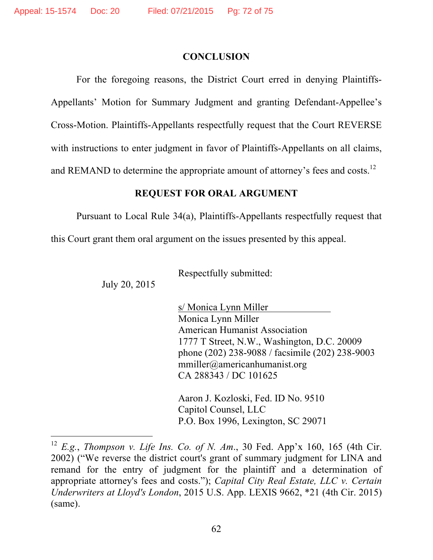l

### **CONCLUSION**

For the foregoing reasons, the District Court erred in denying Plaintiffs-Appellants' Motion for Summary Judgment and granting Defendant-Appellee's Cross-Motion. Plaintiffs-Appellants respectfully request that the Court REVERSE with instructions to enter judgment in favor of Plaintiffs-Appellants on all claims, and REMAND to determine the appropriate amount of attorney's fees and costs.<sup>12</sup>

### **REQUEST FOR ORAL ARGUMENT**

Pursuant to Local Rule 34(a), Plaintiffs-Appellants respectfully request that

this Court grant them oral argument on the issues presented by this appeal.

Respectfully submitted:

July 20, 2015

s/ Monica Lynn Miller Monica Lynn Miller American Humanist Association 1777 T Street, N.W., Washington, D.C. 20009 phone (202) 238-9088 / facsimile (202) 238-9003 mmiller@americanhumanist.org CA 288343 / DC 101625

Aaron J. Kozloski, Fed. ID No. 9510 Capitol Counsel, LLC P.O. Box 1996, Lexington, SC 29071

<sup>12</sup> *E.g.*, *Thompson v. Life Ins. Co. of N. Am*., 30 Fed. App'x 160, 165 (4th Cir. 2002) ("We reverse the district court's grant of summary judgment for LINA and remand for the entry of judgment for the plaintiff and a determination of appropriate attorney's fees and costs."); *Capital City Real Estate, LLC v. Certain Underwriters at Lloyd's London*, 2015 U.S. App. LEXIS 9662, \*21 (4th Cir. 2015) (same).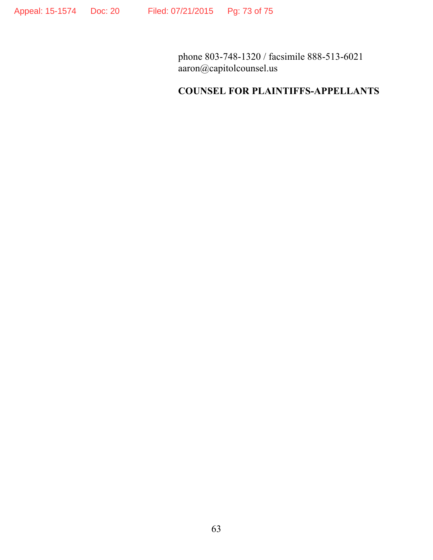phone 803-748-1320 / facsimile 888-513-6021 aaron@capitolcounsel.us

# **COUNSEL FOR PLAINTIFFS-APPELLANTS**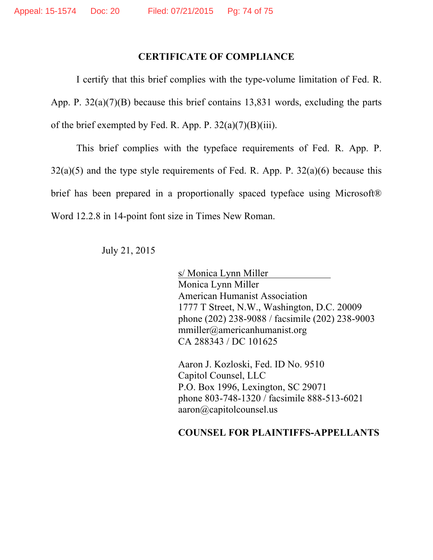#### **CERTIFICATE OF COMPLIANCE**

I certify that this brief complies with the type-volume limitation of Fed. R. App. P. 32(a)(7)(B) because this brief contains 13,831 words, excluding the parts of the brief exempted by Fed. R. App. P.  $32(a)(7)(B)(iii)$ .

This brief complies with the typeface requirements of Fed. R. App. P.  $32(a)(5)$  and the type style requirements of Fed. R. App. P.  $32(a)(6)$  because this brief has been prepared in a proportionally spaced typeface using Microsoft® Word 12.2.8 in 14-point font size in Times New Roman.

July 21, 2015

s/ Monica Lynn Miller Monica Lynn Miller American Humanist Association 1777 T Street, N.W., Washington, D.C. 20009 phone (202) 238-9088 / facsimile (202) 238-9003 mmiller@americanhumanist.org CA 288343 / DC 101625

Aaron J. Kozloski, Fed. ID No. 9510 Capitol Counsel, LLC P.O. Box 1996, Lexington, SC 29071 phone 803-748-1320 / facsimile 888-513-6021 aaron@capitolcounsel.us

## **COUNSEL FOR PLAINTIFFS-APPELLANTS**